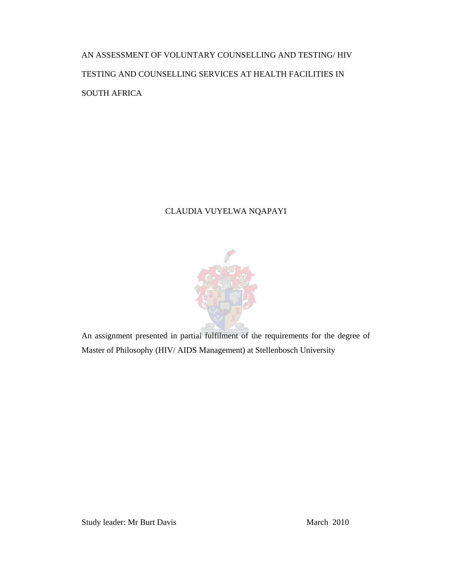AN ASSESSMENT OF VOLUNTARY COUNSELLING AND TESTING/ HIV TESTING AND COUNSELLING SERVICES AT HEALTH FACILITIES IN SOUTH AFRICA

# CLAUDIA VUYELWA NQAPAYI



An assignment presented in partial fulfilment of the requirements for the degree of Master of Philosophy (HIV/ AIDS Management) at Stellenbosch University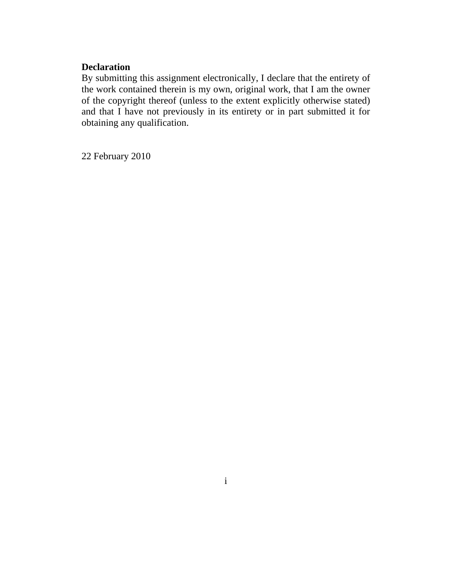# **Declaration**

By submitting this assignment electronically, I declare that the entirety of the work contained therein is my own, original work, that I am the owner of the copyright thereof (unless to the extent explicitly otherwise stated) and that I have not previously in its entirety or in part submitted it for obtaining any qualification.

22 February 2010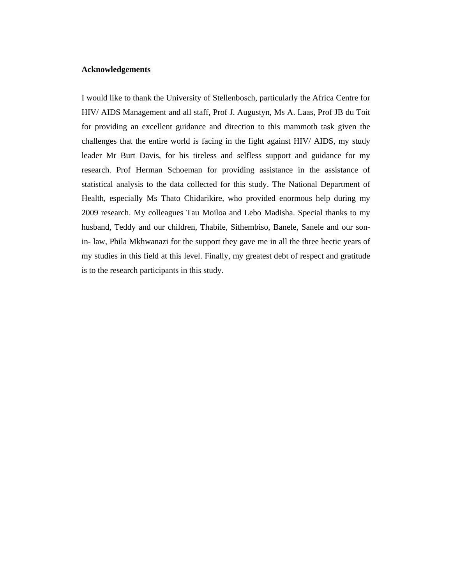## **Acknowledgements**

I would like to thank the University of Stellenbosch, particularly the Africa Centre for HIV/ AIDS Management and all staff, Prof J. Augustyn, Ms A. Laas, Prof JB du Toit for providing an excellent guidance and direction to this mammoth task given the challenges that the entire world is facing in the fight against HIV/ AIDS, my study leader Mr Burt Davis, for his tireless and selfless support and guidance for my research. Prof Herman Schoeman for providing assistance in the assistance of statistical analysis to the data collected for this study. The National Department of Health, especially Ms Thato Chidarikire, who provided enormous help during my 2009 research. My colleagues Tau Moiloa and Lebo Madisha. Special thanks to my husband, Teddy and our children, Thabile, Sithembiso, Banele, Sanele and our sonin- law, Phila Mkhwanazi for the support they gave me in all the three hectic years of my studies in this field at this level. Finally, my greatest debt of respect and gratitude is to the research participants in this study.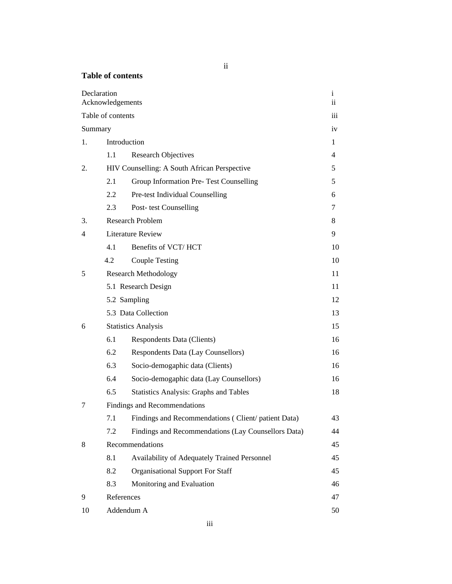# ii

| <b>Table of contents</b> |  |
|--------------------------|--|
|--------------------------|--|

| Declaration | Acknowledgements  |                                                     | $\mathbf{i}$<br>ii. |
|-------------|-------------------|-----------------------------------------------------|---------------------|
|             | Table of contents |                                                     | iii                 |
| Summary     |                   |                                                     | iv                  |
| 1.          |                   | Introduction                                        | 1                   |
|             | 1.1               | <b>Research Objectives</b>                          | 4                   |
| 2.          |                   | HIV Counselling: A South African Perspective        | 5                   |
|             | 2.1               | Group Information Pre- Test Counselling             | 5                   |
|             | 2.2               | Pre-test Individual Counselling                     | 6                   |
|             | 2.3               | Post-test Counselling                               | 7                   |
| 3.          |                   | <b>Research Problem</b>                             | 8                   |
| 4           |                   | <b>Literature Review</b>                            | 9                   |
|             | 4.1               | Benefits of VCT/HCT                                 | 10                  |
|             | 4.2               | <b>Couple Testing</b>                               | 10                  |
| 5           |                   | <b>Research Methodology</b>                         | 11                  |
|             |                   | 5.1 Research Design                                 | 11                  |
|             |                   | 5.2 Sampling                                        | 12                  |
|             |                   | 5.3 Data Collection                                 | 13                  |
| 6           |                   | <b>Statistics Analysis</b>                          | 15                  |
|             | 6.1               | Respondents Data (Clients)                          | 16                  |
|             | 6.2               | Respondents Data (Lay Counsellors)                  | 16                  |
|             | 6.3               | Socio-demogaphic data (Clients)                     | 16                  |
|             | 6.4               | Socio-demogaphic data (Lay Counsellors)             | 16                  |
|             | 6.5               | <b>Statistics Analysis: Graphs and Tables</b>       | 18                  |
| 7           |                   | Findings and Recommendations                        |                     |
|             | 7.1               | Findings and Recommendations (Client/patient Data)  | 43                  |
|             | 7.2               | Findings and Recommendations (Lay Counsellors Data) | 44                  |
| 8           |                   | Recommendations                                     | 45                  |
|             | 8.1               | Availability of Adequately Trained Personnel        | 45                  |
|             | 8.2               | <b>Organisational Support For Staff</b>             | 45                  |
|             | 8.3               | Monitoring and Evaluation                           | 46                  |
| 9           | References        |                                                     | 47                  |
| 10          |                   | Addendum A                                          | 50                  |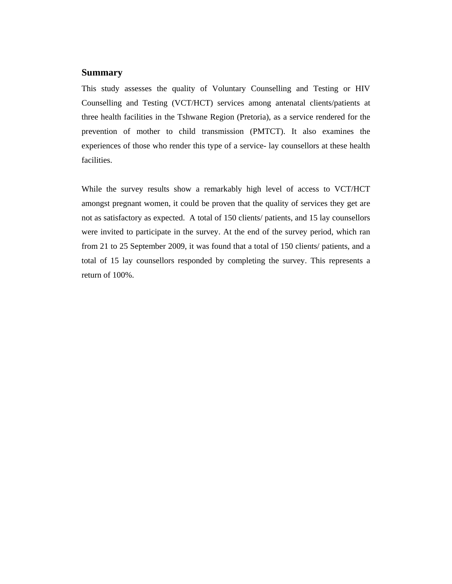## **Summary**

This study assesses the quality of Voluntary Counselling and Testing or HIV Counselling and Testing (VCT/HCT) services among antenatal clients/patients at three health facilities in the Tshwane Region (Pretoria), as a service rendered for the prevention of mother to child transmission (PMTCT). It also examines the experiences of those who render this type of a service- lay counsellors at these health facilities.

While the survey results show a remarkably high level of access to VCT/HCT amongst pregnant women, it could be proven that the quality of services they get are not as satisfactory as expected. A total of 150 clients/ patients, and 15 lay counsellors were invited to participate in the survey. At the end of the survey period, which ran from 21 to 25 September 2009, it was found that a total of 150 clients/ patients, and a total of 15 lay counsellors responded by completing the survey. This represents a return of 100%.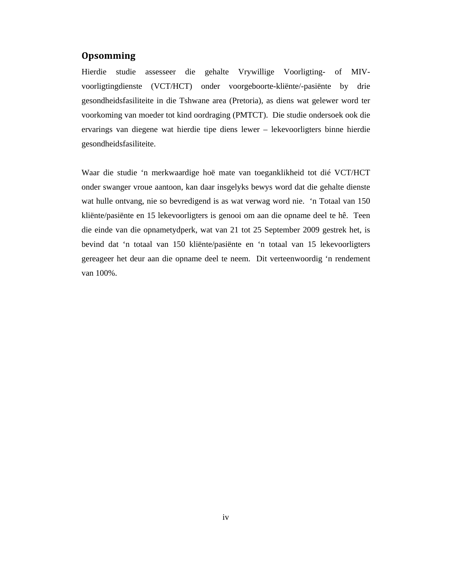## **Opsomming**

Hierdie studie assesseer die gehalte Vrywillige Voorligting- of MIVvoorligtingdienste (VCT/HCT) onder voorgeboorte-kliënte/-pasiënte by drie gesondheidsfasiliteite in die Tshwane area (Pretoria), as diens wat gelewer word ter voorkoming van moeder tot kind oordraging (PMTCT). Die studie ondersoek ook die ervarings van diegene wat hierdie tipe diens lewer – lekevoorligters binne hierdie gesondheidsfasiliteite.

Waar die studie 'n merkwaardige hoë mate van toeganklikheid tot dié VCT/HCT onder swanger vroue aantoon, kan daar insgelyks bewys word dat die gehalte dienste wat hulle ontvang, nie so bevredigend is as wat verwag word nie. 'n Totaal van 150 kliënte/pasiënte en 15 lekevoorligters is genooi om aan die opname deel te hê. Teen die einde van die opnametydperk, wat van 21 tot 25 September 2009 gestrek het, is bevind dat 'n totaal van 150 kliënte/pasiënte en 'n totaal van 15 lekevoorligters gereageer het deur aan die opname deel te neem. Dit verteenwoordig 'n rendement van 100%.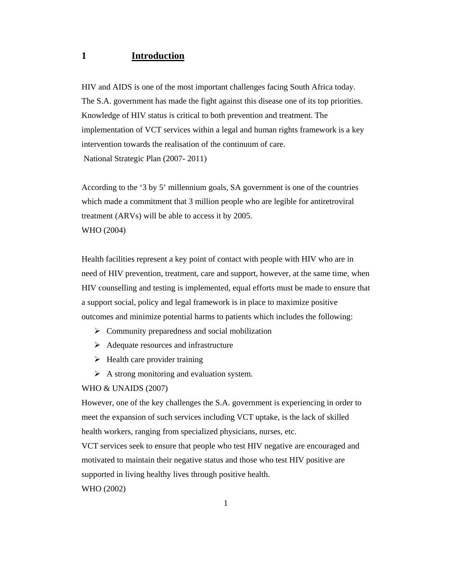# **1 Introduction**

HIV and AIDS is one of the most important challenges facing South Africa today. The S.A. government has made the fight against this disease one of its top priorities. Knowledge of HIV status is critical to both prevention and treatment. The implementation of VCT services within a legal and human rights framework is a key intervention towards the realisation of the continuum of care. National Strategic Plan (2007- 2011)

According to the '3 by 5' millennium goals, SA government is one of the countries which made a commitment that 3 million people who are legible for antiretroviral treatment (ARVs) will be able to access it by 2005. WHO (2004)

Health facilities represent a key point of contact with people with HIV who are in need of HIV prevention, treatment, care and support, however, at the same time, when HIV counselling and testing is implemented, equal efforts must be made to ensure that a support social, policy and legal framework is in place to maximize positive outcomes and minimize potential harms to patients which includes the following:

- $\triangleright$  Community preparedness and social mobilization
- $\triangleright$  Adequate resources and infrastructure
- $\triangleright$  Health care provider training
- $\triangleright$  A strong monitoring and evaluation system.

#### WHO & UNAIDS (2007)

However, one of the key challenges the S.A. government is experiencing in order to meet the expansion of such services including VCT uptake, is the lack of skilled health workers, ranging from specialized physicians, nurses, etc.

VCT services seek to ensure that people who test HIV negative are encouraged and motivated to maintain their negative status and those who test HIV positive are supported in living healthy lives through positive health.

WHO (2002)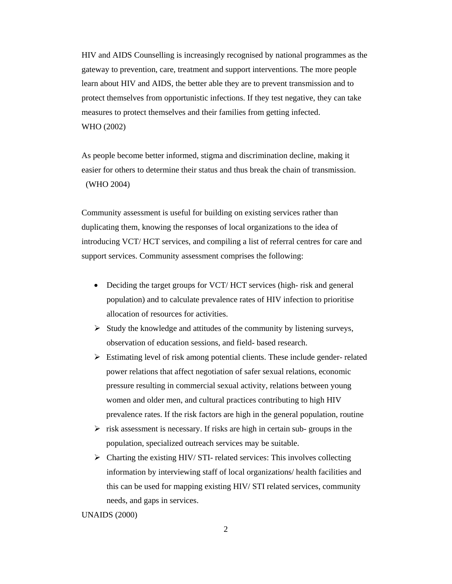HIV and AIDS Counselling is increasingly recognised by national programmes as the gateway to prevention, care, treatment and support interventions. The more people learn about HIV and AIDS, the better able they are to prevent transmission and to protect themselves from opportunistic infections. If they test negative, they can take measures to protect themselves and their families from getting infected. WHO (2002)

As people become better informed, stigma and discrimination decline, making it easier for others to determine their status and thus break the chain of transmission. (WHO 2004)

Community assessment is useful for building on existing services rather than duplicating them, knowing the responses of local organizations to the idea of introducing VCT/ HCT services, and compiling a list of referral centres for care and support services. Community assessment comprises the following:

- Deciding the target groups for VCT/ HCT services (high- risk and general population) and to calculate prevalence rates of HIV infection to prioritise allocation of resources for activities.
- $\triangleright$  Study the knowledge and attitudes of the community by listening surveys, observation of education sessions, and field- based research.
- $\triangleright$  Estimating level of risk among potential clients. These include gender- related power relations that affect negotiation of safer sexual relations, economic pressure resulting in commercial sexual activity, relations between young women and older men, and cultural practices contributing to high HIV prevalence rates. If the risk factors are high in the general population, routine
- $\triangleright$  risk assessment is necessary. If risks are high in certain sub-groups in the population, specialized outreach services may be suitable.
- $\triangleright$  Charting the existing HIV/ STI- related services: This involves collecting information by interviewing staff of local organizations/ health facilities and this can be used for mapping existing HIV/ STI related services, community needs, and gaps in services.

## UNAIDS (2000)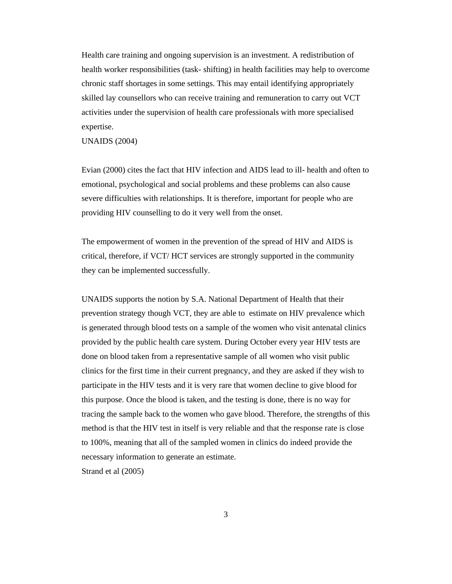Health care training and ongoing supervision is an investment. A redistribution of health worker responsibilities (task- shifting) in health facilities may help to overcome chronic staff shortages in some settings. This may entail identifying appropriately skilled lay counsellors who can receive training and remuneration to carry out VCT activities under the supervision of health care professionals with more specialised expertise.

UNAIDS (2004)

Evian (2000) cites the fact that HIV infection and AIDS lead to ill- health and often to emotional, psychological and social problems and these problems can also cause severe difficulties with relationships. It is therefore, important for people who are providing HIV counselling to do it very well from the onset.

The empowerment of women in the prevention of the spread of HIV and AIDS is critical, therefore, if VCT/ HCT services are strongly supported in the community they can be implemented successfully.

UNAIDS supports the notion by S.A. National Department of Health that their prevention strategy though VCT, they are able to estimate on HIV prevalence which is generated through blood tests on a sample of the women who visit antenatal clinics provided by the public health care system. During October every year HIV tests are done on blood taken from a representative sample of all women who visit public clinics for the first time in their current pregnancy, and they are asked if they wish to participate in the HIV tests and it is very rare that women decline to give blood for this purpose. Once the blood is taken, and the testing is done, there is no way for tracing the sample back to the women who gave blood. Therefore, the strengths of this method is that the HIV test in itself is very reliable and that the response rate is close to 100%, meaning that all of the sampled women in clinics do indeed provide the necessary information to generate an estimate.

Strand et al (2005)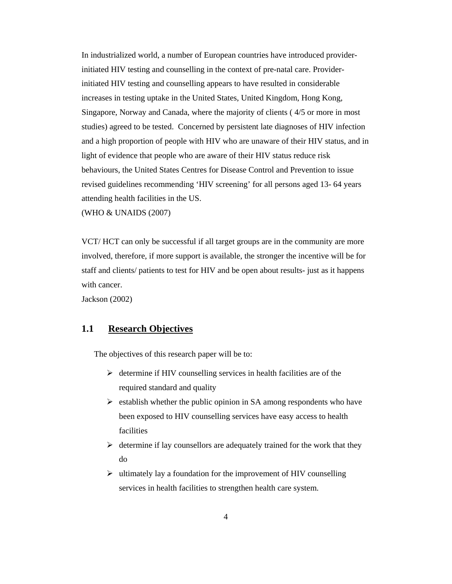In industrialized world, a number of European countries have introduced providerinitiated HIV testing and counselling in the context of pre-natal care. Providerinitiated HIV testing and counselling appears to have resulted in considerable increases in testing uptake in the United States, United Kingdom, Hong Kong, Singapore, Norway and Canada, where the majority of clients ( 4/5 or more in most studies) agreed to be tested. Concerned by persistent late diagnoses of HIV infection and a high proportion of people with HIV who are unaware of their HIV status, and in light of evidence that people who are aware of their HIV status reduce risk behaviours, the United States Centres for Disease Control and Prevention to issue revised guidelines recommending 'HIV screening' for all persons aged 13- 64 years attending health facilities in the US.

(WHO & UNAIDS (2007)

VCT/ HCT can only be successful if all target groups are in the community are more involved, therefore, if more support is available, the stronger the incentive will be for staff and clients/ patients to test for HIV and be open about results- just as it happens with cancer.

Jackson (2002)

## **1.1 Research Objectives**

The objectives of this research paper will be to:

- $\triangleright$  determine if HIV counselling services in health facilities are of the required standard and quality
- $\triangleright$  establish whether the public opinion in SA among respondents who have been exposed to HIV counselling services have easy access to health facilities
- $\triangleright$  determine if lay counsellors are adequately trained for the work that they do
- $\triangleright$  ultimately lay a foundation for the improvement of HIV counselling services in health facilities to strengthen health care system.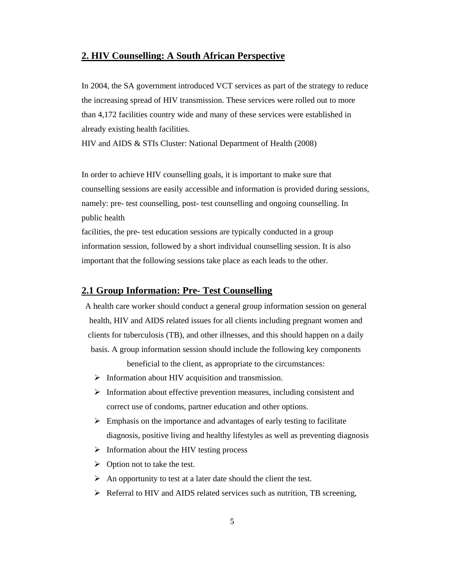# **2. HIV Counselling: A South African Perspective**

In 2004, the SA government introduced VCT services as part of the strategy to reduce the increasing spread of HIV transmission. These services were rolled out to more than 4,172 facilities country wide and many of these services were established in already existing health facilities.

HIV and AIDS & STIs Cluster: National Department of Health (2008)

In order to achieve HIV counselling goals, it is important to make sure that counselling sessions are easily accessible and information is provided during sessions, namely: pre- test counselling, post- test counselling and ongoing counselling. In public health

facilities, the pre- test education sessions are typically conducted in a group information session, followed by a short individual counselling session. It is also important that the following sessions take place as each leads to the other.

## **2.1 Group Information: Pre- Test Counselling**

A health care worker should conduct a general group information session on general health, HIV and AIDS related issues for all clients including pregnant women and clients for tuberculosis (TB), and other illnesses, and this should happen on a daily basis. A group information session should include the following key components

beneficial to the client, as appropriate to the circumstances:

- $\triangleright$  Information about HIV acquisition and transmission.
- $\triangleright$  Information about effective prevention measures, including consistent and correct use of condoms, partner education and other options.
- $\triangleright$  Emphasis on the importance and advantages of early testing to facilitate diagnosis, positive living and healthy lifestyles as well as preventing diagnosis
- $\triangleright$  Information about the HIV testing process
- $\triangleright$  Option not to take the test.
- $\triangleright$  An opportunity to test at a later date should the client the test.
- $\triangleright$  Referral to HIV and AIDS related services such as nutrition, TB screening,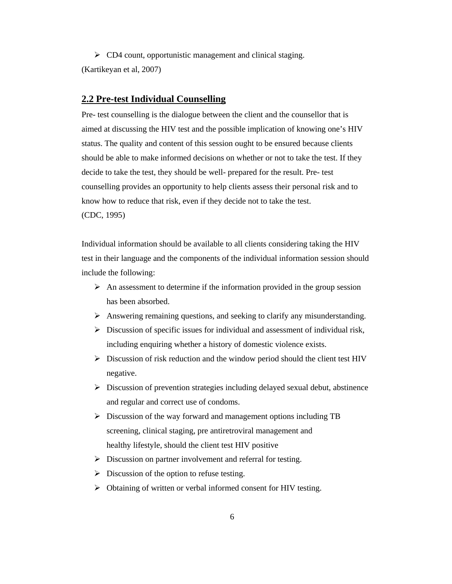$\triangleright$  CD4 count, opportunistic management and clinical staging. (Kartikeyan et al, 2007)

#### **2.2 Pre-test Individual Counselling**

Pre- test counselling is the dialogue between the client and the counsellor that is aimed at discussing the HIV test and the possible implication of knowing one's HIV status. The quality and content of this session ought to be ensured because clients should be able to make informed decisions on whether or not to take the test. If they decide to take the test, they should be well- prepared for the result. Pre- test counselling provides an opportunity to help clients assess their personal risk and to know how to reduce that risk, even if they decide not to take the test. (CDC, 1995)

Individual information should be available to all clients considering taking the HIV test in their language and the components of the individual information session should include the following:

- $\triangleright$  An assessment to determine if the information provided in the group session has been absorbed.
- Answering remaining questions, and seeking to clarify any misunderstanding.
- $\triangleright$  Discussion of specific issues for individual and assessment of individual risk, including enquiring whether a history of domestic violence exists.
- $\triangleright$  Discussion of risk reduction and the window period should the client test HIV negative.
- $\triangleright$  Discussion of prevention strategies including delayed sexual debut, abstinence and regular and correct use of condoms.
- $\triangleright$  Discussion of the way forward and management options including TB screening, clinical staging, pre antiretroviral management and healthy lifestyle, should the client test HIV positive
- $\triangleright$  Discussion on partner involvement and referral for testing.
- $\triangleright$  Discussion of the option to refuse testing.
- Obtaining of written or verbal informed consent for HIV testing.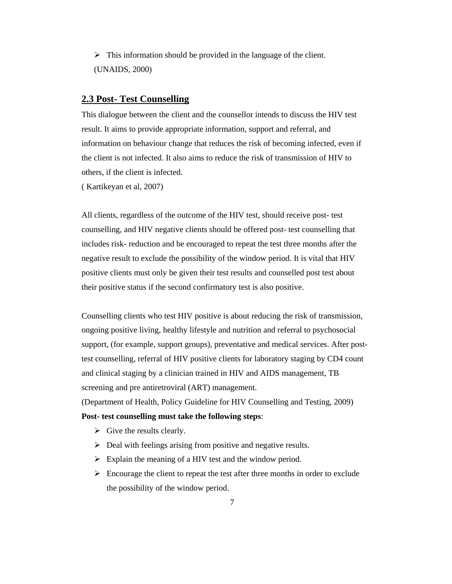$\triangleright$  This information should be provided in the language of the client. (UNAIDS, 2000)

## **2.3 Post- Test Counselling**

This dialogue between the client and the counsellor intends to discuss the HIV test result. It aims to provide appropriate information, support and referral, and information on behaviour change that reduces the risk of becoming infected, even if the client is not infected. It also aims to reduce the risk of transmission of HIV to others, if the client is infected.

( Kartikeyan et al, 2007)

All clients, regardless of the outcome of the HIV test, should receive post- test counselling, and HIV negative clients should be offered post- test counselling that includes risk- reduction and be encouraged to repeat the test three months after the negative result to exclude the possibility of the window period. It is vital that HIV positive clients must only be given their test results and counselled post test about their positive status if the second confirmatory test is also positive.

Counselling clients who test HIV positive is about reducing the risk of transmission, ongoing positive living, healthy lifestyle and nutrition and referral to psychosocial support, (for example, support groups), preventative and medical services. After posttest counselling, referral of HIV positive clients for laboratory staging by CD4 count and clinical staging by a clinician trained in HIV and AIDS management, TB screening and pre antiretroviral (ART) management.

(Department of Health, Policy Guideline for HIV Counselling and Testing, 2009)

#### **Post- test counselling must take the following steps**:

- $\triangleright$  Give the results clearly.
- $\triangleright$  Deal with feelings arising from positive and negative results.
- $\triangleright$  Explain the meaning of a HIV test and the window period.
- $\triangleright$  Encourage the client to repeat the test after three months in order to exclude the possibility of the window period.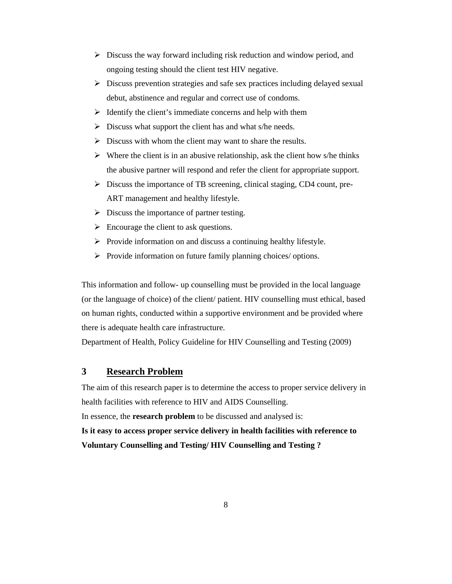- $\triangleright$  Discuss the way forward including risk reduction and window period, and ongoing testing should the client test HIV negative.
- $\triangleright$  Discuss prevention strategies and safe sex practices including delayed sexual debut, abstinence and regular and correct use of condoms.
- $\triangleright$  Identify the client's immediate concerns and help with them
- $\triangleright$  Discuss what support the client has and what s/he needs.
- $\triangleright$  Discuss with whom the client may want to share the results.
- $\triangleright$  Where the client is in an abusive relationship, ask the client how s/he thinks the abusive partner will respond and refer the client for appropriate support.
- Discuss the importance of TB screening, clinical staging, CD4 count, pre-ART management and healthy lifestyle.
- $\triangleright$  Discuss the importance of partner testing.
- $\triangleright$  Encourage the client to ask questions.
- $\triangleright$  Provide information on and discuss a continuing healthy lifestyle.
- $\triangleright$  Provide information on future family planning choices/ options.

This information and follow- up counselling must be provided in the local language (or the language of choice) of the client/ patient. HIV counselling must ethical, based on human rights, conducted within a supportive environment and be provided where there is adequate health care infrastructure.

Department of Health, Policy Guideline for HIV Counselling and Testing (2009)

# **3 Research Problem**

The aim of this research paper is to determine the access to proper service delivery in health facilities with reference to HIV and AIDS Counselling.

In essence, the **research problem** to be discussed and analysed is:

**Is it easy to access proper service delivery in health facilities with reference to Voluntary Counselling and Testing/ HIV Counselling and Testing ?**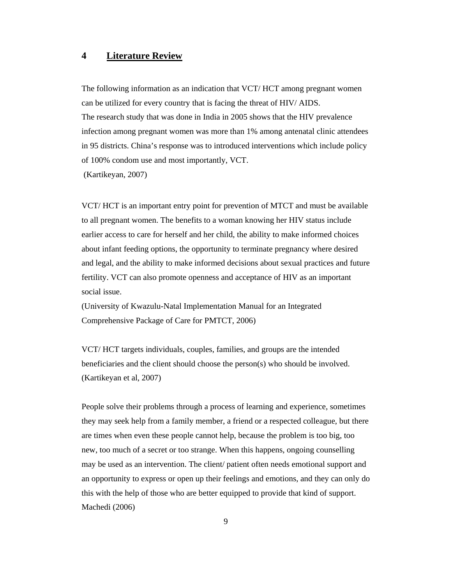# **4 Literature Review**

The following information as an indication that VCT/ HCT among pregnant women can be utilized for every country that is facing the threat of HIV/ AIDS. The research study that was done in India in 2005 shows that the HIV prevalence infection among pregnant women was more than 1% among antenatal clinic attendees in 95 districts. China's response was to introduced interventions which include policy of 100% condom use and most importantly, VCT.

(Kartikeyan, 2007)

VCT/ HCT is an important entry point for prevention of MTCT and must be available to all pregnant women. The benefits to a woman knowing her HIV status include earlier access to care for herself and her child, the ability to make informed choices about infant feeding options, the opportunity to terminate pregnancy where desired and legal, and the ability to make informed decisions about sexual practices and future fertility. VCT can also promote openness and acceptance of HIV as an important social issue.

(University of Kwazulu-Natal Implementation Manual for an Integrated Comprehensive Package of Care for PMTCT, 2006)

VCT/ HCT targets individuals, couples, families, and groups are the intended beneficiaries and the client should choose the person(s) who should be involved. (Kartikeyan et al, 2007)

People solve their problems through a process of learning and experience, sometimes they may seek help from a family member, a friend or a respected colleague, but there are times when even these people cannot help, because the problem is too big, too new, too much of a secret or too strange. When this happens, ongoing counselling may be used as an intervention. The client/ patient often needs emotional support and an opportunity to express or open up their feelings and emotions, and they can only do this with the help of those who are better equipped to provide that kind of support. Machedi (2006)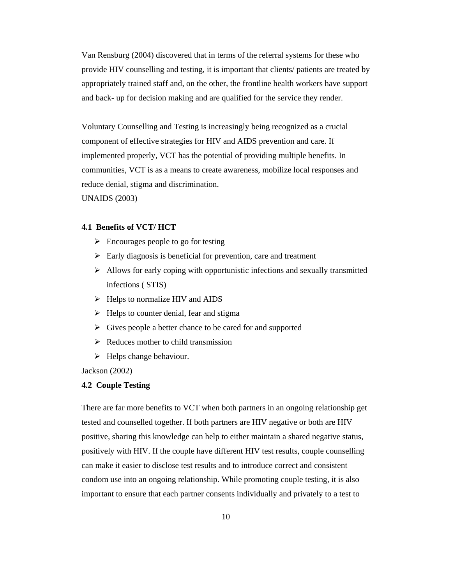Van Rensburg (2004) discovered that in terms of the referral systems for these who provide HIV counselling and testing, it is important that clients/ patients are treated by appropriately trained staff and, on the other, the frontline health workers have support and back- up for decision making and are qualified for the service they render.

Voluntary Counselling and Testing is increasingly being recognized as a crucial component of effective strategies for HIV and AIDS prevention and care. If implemented properly, VCT has the potential of providing multiple benefits. In communities, VCT is as a means to create awareness, mobilize local responses and reduce denial, stigma and discrimination.

UNAIDS (2003)

#### **4.1 Benefits of VCT/ HCT**

- $\triangleright$  Encourages people to go for testing
- $\triangleright$  Early diagnosis is beneficial for prevention, care and treatment
- $\triangleright$  Allows for early coping with opportunistic infections and sexually transmitted infections ( STIS)
- $\triangleright$  Helps to normalize HIV and AIDS
- $\triangleright$  Helps to counter denial, fear and stigma
- $\triangleright$  Gives people a better chance to be cared for and supported
- $\triangleright$  Reduces mother to child transmission
- $\blacktriangleright$  Helps change behaviour.

Jackson (2002)

#### **4.2 Couple Testing**

There are far more benefits to VCT when both partners in an ongoing relationship get tested and counselled together. If both partners are HIV negative or both are HIV positive, sharing this knowledge can help to either maintain a shared negative status, positively with HIV. If the couple have different HIV test results, couple counselling can make it easier to disclose test results and to introduce correct and consistent condom use into an ongoing relationship. While promoting couple testing, it is also important to ensure that each partner consents individually and privately to a test to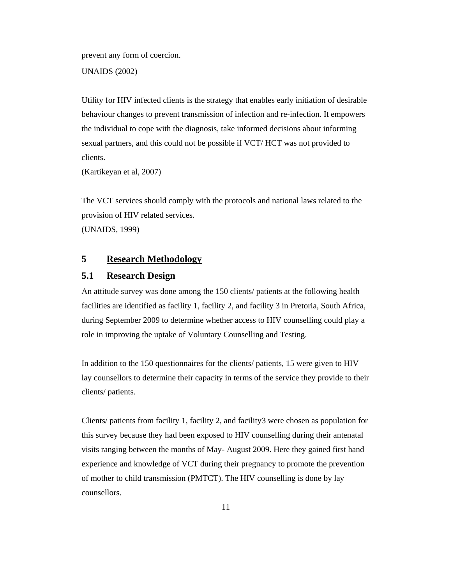prevent any form of coercion.

UNAIDS (2002)

Utility for HIV infected clients is the strategy that enables early initiation of desirable behaviour changes to prevent transmission of infection and re-infection. It empowers the individual to cope with the diagnosis, take informed decisions about informing sexual partners, and this could not be possible if VCT/ HCT was not provided to clients.

(Kartikeyan et al, 2007)

The VCT services should comply with the protocols and national laws related to the provision of HIV related services. (UNAIDS, 1999)

# **5 Research Methodology**

# **5.1 Research Design**

An attitude survey was done among the 150 clients/ patients at the following health facilities are identified as facility 1, facility 2, and facility 3 in Pretoria, South Africa, during September 2009 to determine whether access to HIV counselling could play a role in improving the uptake of Voluntary Counselling and Testing.

In addition to the 150 questionnaires for the clients/ patients, 15 were given to HIV lay counsellors to determine their capacity in terms of the service they provide to their clients/ patients.

Clients/ patients from facility 1, facility 2, and facility3 were chosen as population for this survey because they had been exposed to HIV counselling during their antenatal visits ranging between the months of May- August 2009. Here they gained first hand experience and knowledge of VCT during their pregnancy to promote the prevention of mother to child transmission (PMTCT). The HIV counselling is done by lay counsellors.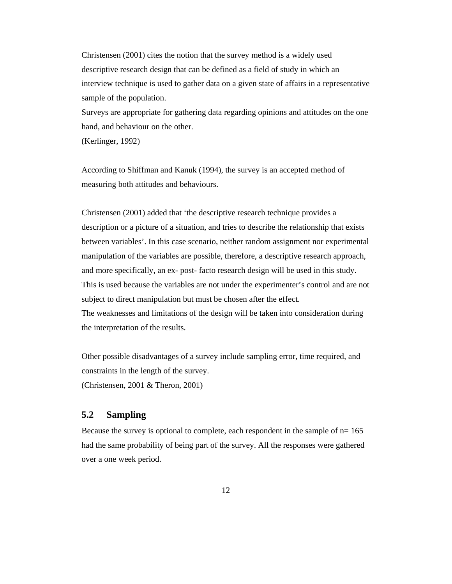Christensen (2001) cites the notion that the survey method is a widely used descriptive research design that can be defined as a field of study in which an interview technique is used to gather data on a given state of affairs in a representative sample of the population.

Surveys are appropriate for gathering data regarding opinions and attitudes on the one hand, and behaviour on the other.

(Kerlinger, 1992)

According to Shiffman and Kanuk (1994), the survey is an accepted method of measuring both attitudes and behaviours.

Christensen (2001) added that 'the descriptive research technique provides a description or a picture of a situation, and tries to describe the relationship that exists between variables'. In this case scenario, neither random assignment nor experimental manipulation of the variables are possible, therefore, a descriptive research approach, and more specifically, an ex- post- facto research design will be used in this study. This is used because the variables are not under the experimenter's control and are not subject to direct manipulation but must be chosen after the effect.

The weaknesses and limitations of the design will be taken into consideration during the interpretation of the results.

Other possible disadvantages of a survey include sampling error, time required, and constraints in the length of the survey.

(Christensen, 2001 & Theron, 2001)

# **5.2 Sampling**

Because the survey is optional to complete, each respondent in the sample of  $n=165$ had the same probability of being part of the survey. All the responses were gathered over a one week period.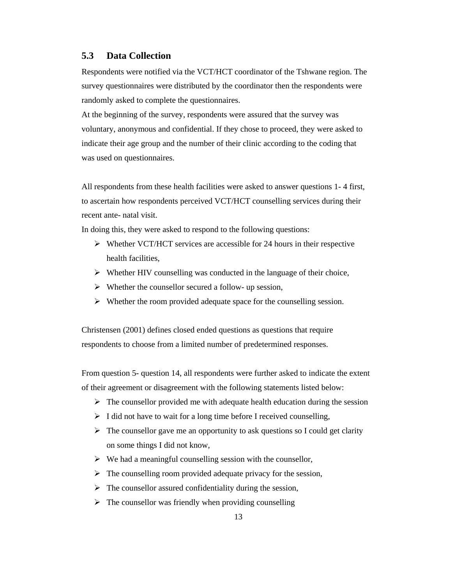# **5.3 Data Collection**

Respondents were notified via the VCT/HCT coordinator of the Tshwane region. The survey questionnaires were distributed by the coordinator then the respondents were randomly asked to complete the questionnaires.

At the beginning of the survey, respondents were assured that the survey was voluntary, anonymous and confidential. If they chose to proceed, they were asked to indicate their age group and the number of their clinic according to the coding that was used on questionnaires.

All respondents from these health facilities were asked to answer questions 1- 4 first, to ascertain how respondents perceived VCT/HCT counselling services during their recent ante- natal visit.

In doing this, they were asked to respond to the following questions:

- $\triangleright$  Whether VCT/HCT services are accessible for 24 hours in their respective health facilities,
- $\triangleright$  Whether HIV counselling was conducted in the language of their choice,
- $\triangleright$  Whether the counsellor secured a follow- up session,
- $\triangleright$  Whether the room provided adequate space for the counselling session.

Christensen (2001) defines closed ended questions as questions that require respondents to choose from a limited number of predetermined responses.

From question 5- question 14, all respondents were further asked to indicate the extent of their agreement or disagreement with the following statements listed below:

- $\triangleright$  The counsellor provided me with adequate health education during the session
- $\triangleright$  I did not have to wait for a long time before I received counselling,
- $\triangleright$  The counsellor gave me an opportunity to ask questions so I could get clarity on some things I did not know,
- $\triangleright$  We had a meaningful counselling session with the counsellor,
- $\triangleright$  The counselling room provided adequate privacy for the session,
- $\triangleright$  The counsellor assured confidentiality during the session,
- $\triangleright$  The counsellor was friendly when providing counselling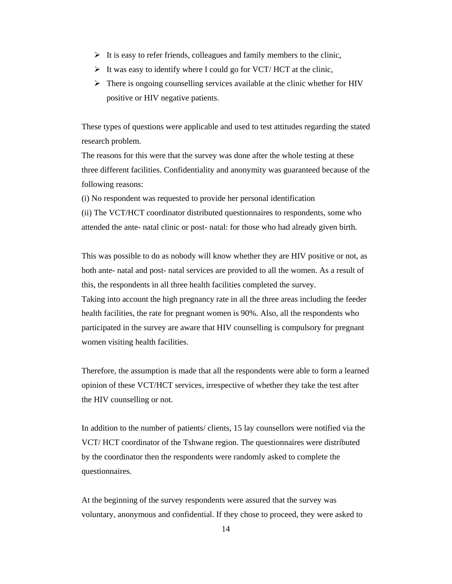- $\triangleright$  It is easy to refer friends, colleagues and family members to the clinic,
- $\triangleright$  It was easy to identify where I could go for VCT/ HCT at the clinic,
- $\triangleright$  There is ongoing counselling services available at the clinic whether for HIV positive or HIV negative patients.

These types of questions were applicable and used to test attitudes regarding the stated research problem.

The reasons for this were that the survey was done after the whole testing at these three different facilities. Confidentiality and anonymity was guaranteed because of the following reasons:

(i) No respondent was requested to provide her personal identification

(ii) The VCT/HCT coordinator distributed questionnaires to respondents, some who attended the ante- natal clinic or post- natal: for those who had already given birth.

This was possible to do as nobody will know whether they are HIV positive or not, as both ante- natal and post- natal services are provided to all the women. As a result of this, the respondents in all three health facilities completed the survey. Taking into account the high pregnancy rate in all the three areas including the feeder health facilities, the rate for pregnant women is 90%. Also, all the respondents who participated in the survey are aware that HIV counselling is compulsory for pregnant women visiting health facilities.

Therefore, the assumption is made that all the respondents were able to form a learned opinion of these VCT/HCT services, irrespective of whether they take the test after the HIV counselling or not.

In addition to the number of patients/ clients, 15 lay counsellors were notified via the VCT/ HCT coordinator of the Tshwane region. The questionnaires were distributed by the coordinator then the respondents were randomly asked to complete the questionnaires.

At the beginning of the survey respondents were assured that the survey was voluntary, anonymous and confidential. If they chose to proceed, they were asked to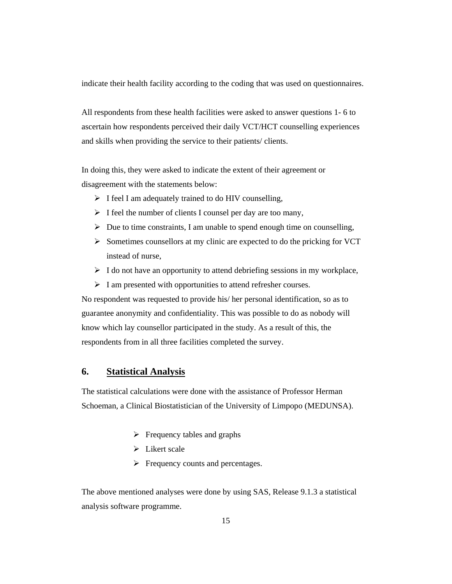indicate their health facility according to the coding that was used on questionnaires.

All respondents from these health facilities were asked to answer questions 1- 6 to ascertain how respondents perceived their daily VCT/HCT counselling experiences and skills when providing the service to their patients/ clients.

In doing this, they were asked to indicate the extent of their agreement or disagreement with the statements below:

- $\triangleright$  I feel I am adequately trained to do HIV counselling,
- $\triangleright$  I feel the number of clients I counsel per day are too many,
- $\triangleright$  Due to time constraints, I am unable to spend enough time on counselling,
- $\triangleright$  Sometimes counsellors at my clinic are expected to do the pricking for VCT instead of nurse,
- $\triangleright$  I do not have an opportunity to attend debriefing sessions in my workplace,
- $\triangleright$  I am presented with opportunities to attend refresher courses.

No respondent was requested to provide his/ her personal identification, so as to guarantee anonymity and confidentiality. This was possible to do as nobody will know which lay counsellor participated in the study. As a result of this, the respondents from in all three facilities completed the survey.

## **6. Statistical Analysis**

The statistical calculations were done with the assistance of Professor Herman Schoeman, a Clinical Biostatistician of the University of Limpopo (MEDUNSA).

- $\triangleright$  Frequency tables and graphs
- $\triangleright$  Likert scale
- $\triangleright$  Frequency counts and percentages.

The above mentioned analyses were done by using SAS, Release 9.1.3 a statistical analysis software programme.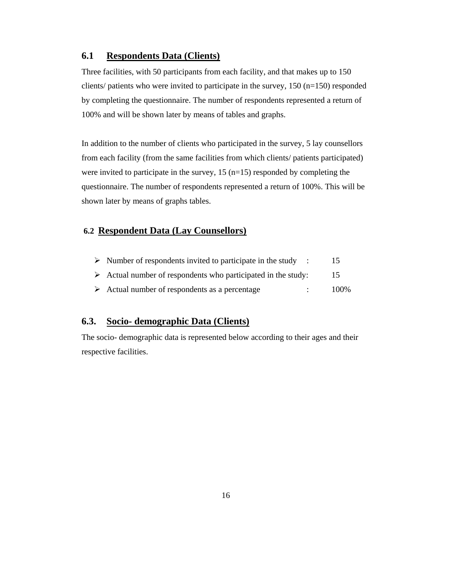# **6.1 Respondents Data (Clients)**

Three facilities, with 50 participants from each facility, and that makes up to 150 clients/ patients who were invited to participate in the survey,  $150$  (n=150) responded by completing the questionnaire. The number of respondents represented a return of 100% and will be shown later by means of tables and graphs.

In addition to the number of clients who participated in the survey, 5 lay counsellors from each facility (from the same facilities from which clients/ patients participated) were invited to participate in the survey,  $15$  (n=15) responded by completing the questionnaire. The number of respondents represented a return of 100%. This will be shown later by means of graphs tables.

# **6.2 Respondent Data (Lay Counsellors)**

| $\triangleright$ Number of respondents invited to participate in the study : |      |
|------------------------------------------------------------------------------|------|
| $\triangleright$ Actual number of respondents who participated in the study: | 15   |
| $\triangleright$ Actual number of respondents as a percentage                | 100% |

# **6.3. Socio- demographic Data (Clients)**

The socio- demographic data is represented below according to their ages and their respective facilities.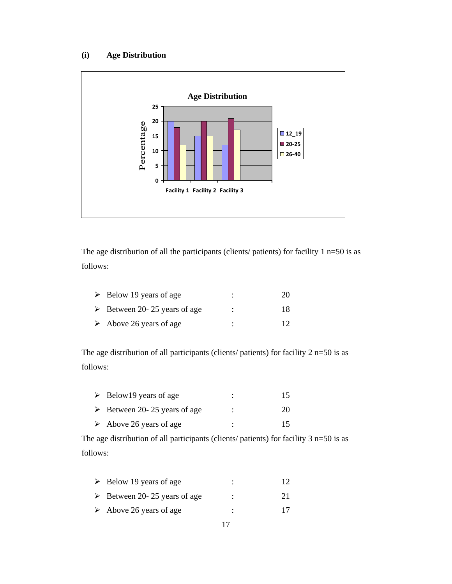# **(i) Age Distribution**



The age distribution of all the participants (clients/ patients) for facility  $1 n=50$  is as follows:

| $\triangleright$ Below 19 years of age      | ٠<br>٠ | 20  |
|---------------------------------------------|--------|-----|
| $\triangleright$ Between 20-25 years of age | ٠<br>٠ | 18. |
| $\triangleright$ Above 26 years of age      | ٠      |     |

The age distribution of all participants (clients/ patients) for facility  $2 n=50$  is as follows:

| $\triangleright$ Below 19 years of age      | 15. |
|---------------------------------------------|-----|
| $\triangleright$ Between 20-25 years of age | 20  |
| $\triangleright$ Above 26 years of age      | 15  |

The age distribution of all participants (clients/ patients) for facility 3 n=50 is as follows:

| $\triangleright$ Below 19 years of age      |   |    |
|---------------------------------------------|---|----|
| $\triangleright$ Between 20-25 years of age | ٠ | 21 |
| $\triangleright$ Above 26 years of age      | ٠ |    |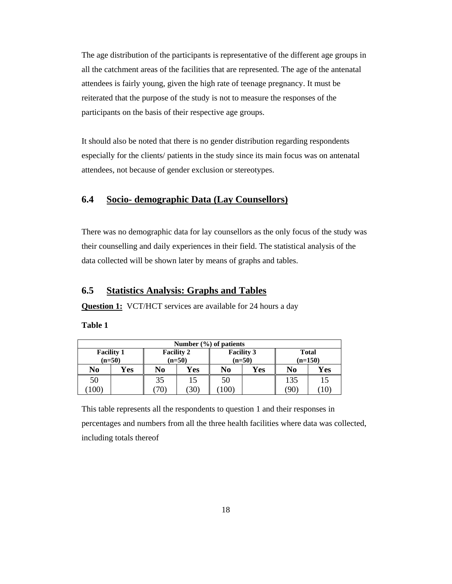The age distribution of the participants is representative of the different age groups in all the catchment areas of the facilities that are represented. The age of the antenatal attendees is fairly young, given the high rate of teenage pregnancy. It must be reiterated that the purpose of the study is not to measure the responses of the participants on the basis of their respective age groups.

It should also be noted that there is no gender distribution regarding respondents especially for the clients/ patients in the study since its main focus was on antenatal attendees, not because of gender exclusion or stereotypes.

# **6.4 Socio- demographic Data (Lay Counsellors)**

There was no demographic data for lay counsellors as the only focus of the study was their counselling and daily experiences in their field. The statistical analysis of the data collected will be shown later by means of graphs and tables.

# **6.5 Statistics Analysis: Graphs and Tables**

**Question 1:** VCT/HCT services are available for 24 hours a day

**Table 1** 

| Number $(\% )$ of patients |                   |    |                   |                   |     |              |     |  |  |  |  |  |
|----------------------------|-------------------|----|-------------------|-------------------|-----|--------------|-----|--|--|--|--|--|
|                            | <b>Facility 1</b> |    | <b>Facility 2</b> | <b>Facility 3</b> |     | <b>Total</b> |     |  |  |  |  |  |
| $(n=50)$                   |                   |    | $(n=50)$          | $(n=50)$          |     | $(n=150)$    |     |  |  |  |  |  |
| No                         | Yes               | No | Yes               | No                | Yes | No           | Yes |  |  |  |  |  |
| 50                         |                   | 35 | 15                | 50                |     | 135          | 15  |  |  |  |  |  |
| 100                        |                   |    | ′30`              | 100               |     | 90           | 10  |  |  |  |  |  |

This table represents all the respondents to question 1 and their responses in percentages and numbers from all the three health facilities where data was collected, including totals thereof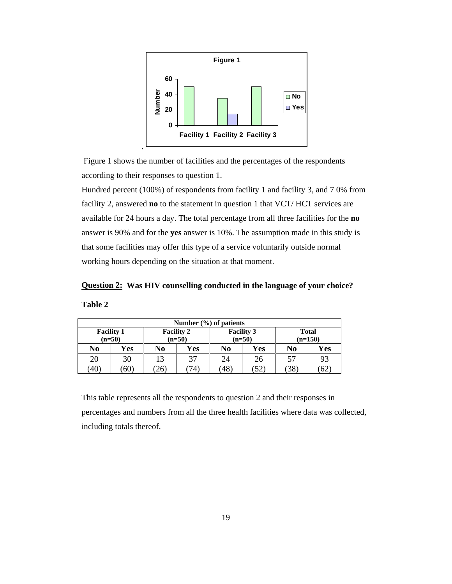

 Figure 1 shows the number of facilities and the percentages of the respondents according to their responses to question 1.

Hundred percent (100%) of respondents from facility 1 and facility 3, and 7 0% from facility 2, answered **no** to the statement in question 1 that VCT/ HCT services are available for 24 hours a day. The total percentage from all three facilities for the **no**  answer is 90% and for the **yes** answer is 10%. The assumption made in this study is that some facilities may offer this type of a service voluntarily outside normal working hours depending on the situation at that moment.

**Question 2: Was HIV counselling conducted in the language of your choice? Table 2** 

| Number $(\frac{6}{6})$ of patients |                 |                               |     |                               |    |                           |     |  |  |  |  |  |
|------------------------------------|-----------------|-------------------------------|-----|-------------------------------|----|---------------------------|-----|--|--|--|--|--|
| <b>Facility 1</b><br>$(n=50)$      |                 | <b>Facility 2</b><br>$(n=50)$ |     | <b>Facility 3</b><br>$(n=50)$ |    | <b>Total</b><br>$(n=150)$ |     |  |  |  |  |  |
| No                                 | Yes             | N <sub>0</sub>                | Yes | Yes<br>No                     |    | No                        | Yes |  |  |  |  |  |
| 20                                 | 30              |                               | 37  | 24                            | 26 | 57                        | 93  |  |  |  |  |  |
| (40)                               | 60)<br>26<br>74 |                               |     |                               | 52 | 38                        | 62  |  |  |  |  |  |

This table represents all the respondents to question 2 and their responses in percentages and numbers from all the three health facilities where data was collected, including totals thereof.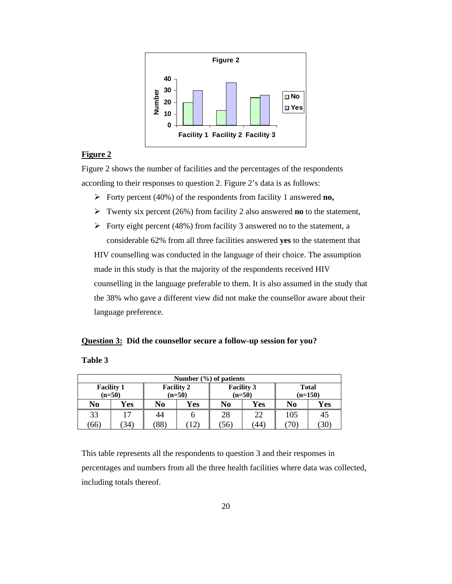

## **Figure 2**

Figure 2 shows the number of facilities and the percentages of the respondents according to their responses to question 2. Figure 2's data is as follows:

- Forty percent (40%) of the respondents from facility 1 answered **no,**
- Twenty six percent (26%) from facility 2 also answered **no** to the statement,
- $\triangleright$  Forty eight percent (48%) from facility 3 answered no to the statement, a considerable 62% from all three facilities answered **yes** to the statement that

HIV counselling was conducted in the language of their choice. The assumption made in this study is that the majority of the respondents received HIV counselling in the language preferable to them. It is also assumed in the study that the 38% who gave a different view did not make the counsellor aware about their language preference.

#### **Question 3: Did the counsellor secure a follow-up session for you?**

#### **Table 3**

| Number $(\% )$ of patients |                   |                   |          |                   |     |              |     |  |  |  |  |  |
|----------------------------|-------------------|-------------------|----------|-------------------|-----|--------------|-----|--|--|--|--|--|
|                            | <b>Facility 1</b> | <b>Facility 2</b> |          | <b>Facility 3</b> |     | <b>Total</b> |     |  |  |  |  |  |
|                            | $(n=50)$          |                   | $(n=50)$ | $(n=50)$          |     | $(n=150)$    |     |  |  |  |  |  |
| No                         | Yes               | N <sub>0</sub>    | Yes      | N <sub>0</sub>    | Yes | No           | Yes |  |  |  |  |  |
| 33                         | 17                | 44                |          | 28                | 22  | 105          | 45  |  |  |  |  |  |
| (66)                       | 34)               | $88^{\circ}$      |          | 56)               | 44) | 30<br>70     |     |  |  |  |  |  |

This table represents all the respondents to question 3 and their responses in percentages and numbers from all the three health facilities where data was collected, including totals thereof.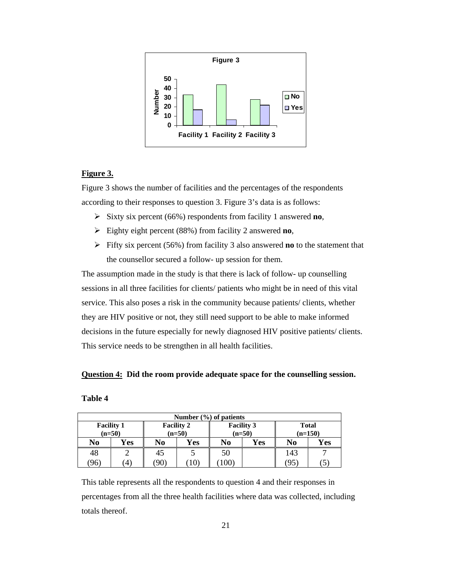

## **Figure 3.**

Figure 3 shows the number of facilities and the percentages of the respondents according to their responses to question 3. Figure 3's data is as follows:

- Sixty six percent (66%) respondents from facility 1 answered **no**,
- Eighty eight percent (88%) from facility 2 answered **no**,
- Fifty six percent (56%) from facility 3 also answered **no** to the statement that the counsellor secured a follow- up session for them.

The assumption made in the study is that there is lack of follow- up counselling sessions in all three facilities for clients/ patients who might be in need of this vital service. This also poses a risk in the community because patients/ clients, whether they are HIV positive or not, they still need support to be able to make informed decisions in the future especially for newly diagnosed HIV positive patients/ clients. This service needs to be strengthen in all health facilities.

## **Question 4: Did the room provide adequate space for the counselling session.**

#### **Table 4**

| Number $(\% )$ of patients |                   |                   |              |                      |     |                |                  |  |  |  |  |  |
|----------------------------|-------------------|-------------------|--------------|----------------------|-----|----------------|------------------|--|--|--|--|--|
|                            | <b>Facility 1</b> | <b>Facility 2</b> |              | <b>Facility 3</b>    |     | <b>Total</b>   |                  |  |  |  |  |  |
|                            | $(n=50)$          |                   |              | $(n=50)$<br>$(n=50)$ |     |                | $(n=150)$        |  |  |  |  |  |
| No                         | Yes               | N <sub>0</sub>    | Yes          | N <sub>0</sub>       | Yes | N <sub>0</sub> | Yes              |  |  |  |  |  |
| 48                         |                   | 45                |              | 50                   |     | 143            |                  |  |  |  |  |  |
| (96)                       | 4)                | (90)              | $10^{\circ}$ | $.00^{\circ}$        |     | (95            | $\left(5\right)$ |  |  |  |  |  |

This table represents all the respondents to question 4 and their responses in percentages from all the three health facilities where data was collected, including totals thereof.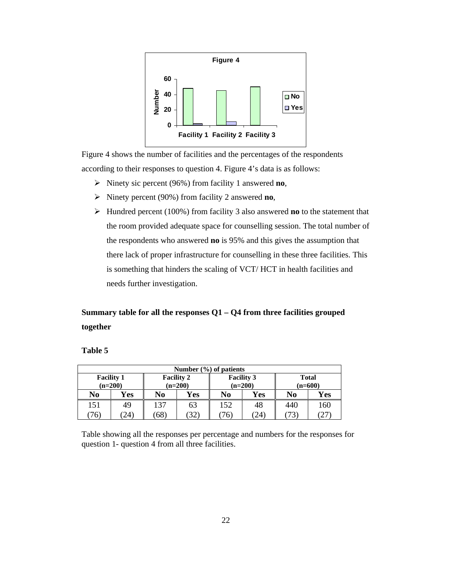

Figure 4 shows the number of facilities and the percentages of the respondents according to their responses to question 4. Figure 4's data is as follows:

- Ninety sic percent (96%) from facility 1 answered **no**,
- Ninety percent (90%) from facility 2 answered **no**,
- Hundred percent (100%) from facility 3 also answered **no** to the statement that the room provided adequate space for counselling session. The total number of the respondents who answered **no** is 95% and this gives the assumption that there lack of proper infrastructure for counselling in these three facilities. This is something that hinders the scaling of VCT/ HCT in health facilities and needs further investigation.

# **Summary table for all the responses Q1 – Q4 from three facilities grouped together**

#### **Table 5**

| Number $(\% )$ of patients |                                |                                |    |                                |      |                           |     |  |  |  |  |  |
|----------------------------|--------------------------------|--------------------------------|----|--------------------------------|------|---------------------------|-----|--|--|--|--|--|
|                            | <b>Facility 1</b><br>$(n=200)$ | <b>Facility 2</b><br>$(n=200)$ |    | <b>Facility 3</b><br>$(n=200)$ |      | <b>Total</b><br>$(n=600)$ |     |  |  |  |  |  |
| No                         | Yes                            | Yes<br>No                      |    | Yes<br>No                      |      | No                        | Yes |  |  |  |  |  |
| 151                        | 49                             | 137                            | 63 | 152                            | 48   | 440                       | 160 |  |  |  |  |  |
| 76)                        | (24)                           | (68)                           | 32 |                                | (24) | 73                        | 27  |  |  |  |  |  |

Table showing all the responses per percentage and numbers for the responses for question 1- question 4 from all three facilities.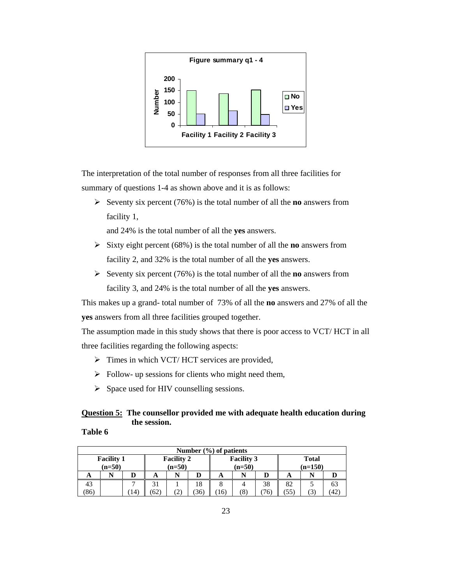

The interpretation of the total number of responses from all three facilities for summary of questions 1-4 as shown above and it is as follows:

Seventy six percent  $(76%)$  is the total number of all the **no** answers from facility 1,

and 24% is the total number of all the **yes** answers.

- $\triangleright$  Sixty eight percent (68%) is the total number of all the **no** answers from facility 2, and 32% is the total number of all the **yes** answers.
- $\triangleright$  Seventy six percent (76%) is the total number of all the **no** answers from facility 3, and 24% is the total number of all the **yes** answers.

This makes up a grand- total number of 73% of all the **no** answers and 27% of all the **yes** answers from all three facilities grouped together.

The assumption made in this study shows that there is poor access to VCT/ HCT in all three facilities regarding the following aspects:

- $\triangleright$  Times in which VCT/HCT services are provided,
- $\triangleright$  Follow- up sessions for clients who might need them,
- $\triangleright$  Space used for HIV counselling sessions.

# **Question 5: The counsellor provided me with adequate health education during the session.**

## **Table 6**

|                                                                | Number $(\% )$ of patients |     |      |   |                                                            |    |   |    |    |  |     |  |  |
|----------------------------------------------------------------|----------------------------|-----|------|---|------------------------------------------------------------|----|---|----|----|--|-----|--|--|
| <b>Facility 1</b><br><b>Facility 2</b><br>$(n=50)$<br>$(n=50)$ |                            |     |      |   | <b>Facility 3</b><br><b>Total</b><br>$(n=50)$<br>$(n=150)$ |    |   |    |    |  |     |  |  |
|                                                                |                            |     |      |   |                                                            |    |   |    |    |  |     |  |  |
| A                                                              | N                          |     | A    |   | D                                                          | A  | N |    | A  |  |     |  |  |
| 43                                                             |                            | −   | 31   |   | 18                                                         |    |   | 38 | 82 |  | 63  |  |  |
| 86)                                                            |                            | 14) | (62) | 2 | (36)                                                       | 16 | 8 |    | 55 |  | 42) |  |  |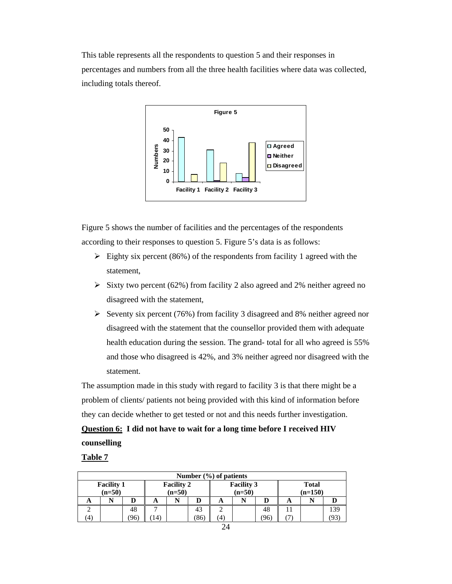This table represents all the respondents to question 5 and their responses in percentages and numbers from all the three health facilities where data was collected, including totals thereof.



Figure 5 shows the number of facilities and the percentages of the respondents according to their responses to question 5. Figure 5's data is as follows:

- $\triangleright$  Eighty six percent (86%) of the respondents from facility 1 agreed with the statement,
- $\triangleright$  Sixty two percent (62%) from facility 2 also agreed and 2% neither agreed no disagreed with the statement,
- Seventy six percent (76%) from facility 3 disagreed and 8% neither agreed nor disagreed with the statement that the counsellor provided them with adequate health education during the session. The grand- total for all who agreed is 55% and those who disagreed is 42%, and 3% neither agreed nor disagreed with the statement.

The assumption made in this study with regard to facility 3 is that there might be a problem of clients/ patients not being provided with this kind of information before they can decide whether to get tested or not and this needs further investigation.

**Question 6: I did not have to wait for a long time before I received HIV counselling**

#### **Table 7**

|    |                                                                |      |     |  |      | Number $(\% )$ of patients                                 |  |     |   |  |     |
|----|----------------------------------------------------------------|------|-----|--|------|------------------------------------------------------------|--|-----|---|--|-----|
|    | <b>Facility 2</b><br><b>Facility 1</b><br>$(n=50)$<br>$(n=50)$ |      |     |  |      | <b>Facility 3</b><br><b>Total</b><br>$(n=50)$<br>$(n=150)$ |  |     |   |  |     |
| A  |                                                                |      | A   |  |      | A                                                          |  |     | A |  |     |
|    |                                                                | 48   |     |  | 43   |                                                            |  | 48  |   |  | 139 |
| (4 |                                                                | '96) | 14) |  | (86) | (4)                                                        |  | (96 |   |  | 93  |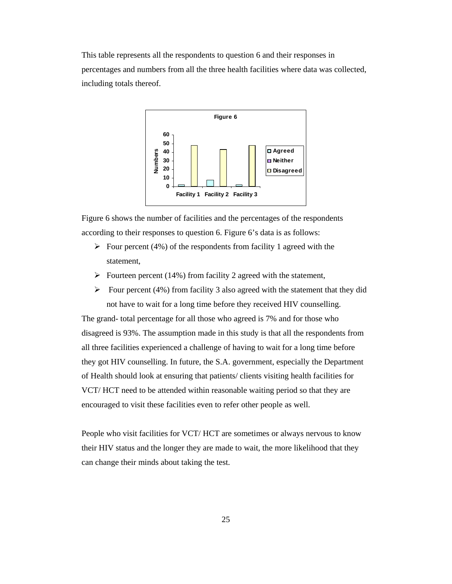This table represents all the respondents to question 6 and their responses in percentages and numbers from all the three health facilities where data was collected, including totals thereof.



Figure 6 shows the number of facilities and the percentages of the respondents according to their responses to question 6. Figure 6's data is as follows:

- $\triangleright$  Four percent (4%) of the respondents from facility 1 agreed with the statement,
- $\triangleright$  Fourteen percent (14%) from facility 2 agreed with the statement,
- $\triangleright$  Four percent (4%) from facility 3 also agreed with the statement that they did not have to wait for a long time before they received HIV counselling.

The grand- total percentage for all those who agreed is 7% and for those who disagreed is 93%. The assumption made in this study is that all the respondents from all three facilities experienced a challenge of having to wait for a long time before they got HIV counselling. In future, the S.A. government, especially the Department of Health should look at ensuring that patients/ clients visiting health facilities for VCT/ HCT need to be attended within reasonable waiting period so that they are encouraged to visit these facilities even to refer other people as well.

People who visit facilities for VCT/ HCT are sometimes or always nervous to know their HIV status and the longer they are made to wait, the more likelihood that they can change their minds about taking the test.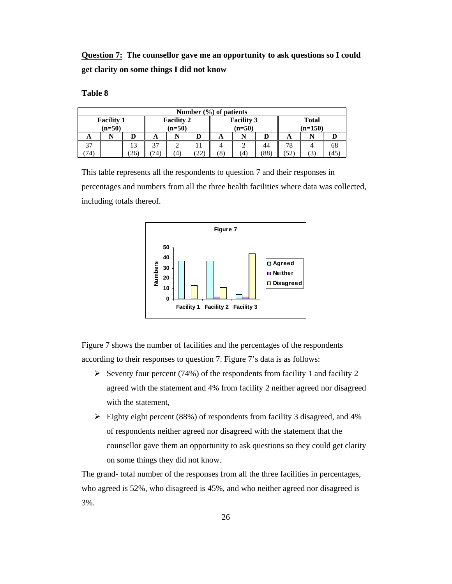**Question 7: The counsellor gave me an opportunity to ask questions so I could get clarity on some things I did not know**

## **Table 8**

|     |                   |      |          |                   |     | Number $(\% )$ of patients |                   |    |              |                |    |  |
|-----|-------------------|------|----------|-------------------|-----|----------------------------|-------------------|----|--------------|----------------|----|--|
|     | <b>Facility 1</b> |      |          | <b>Facility 2</b> |     |                            | <b>Facility 3</b> |    | <b>Total</b> |                |    |  |
|     | $(n=50)$          |      | $(n=50)$ |                   |     |                            | $(n=50)$          |    | $(n=150)$    |                |    |  |
| A   |                   |      | A        | N                 |     | A                          | N                 |    | A            |                |    |  |
| 37  |                   | 13   | 37       | $\sim$            |     |                            | 2                 | 44 | 78           |                | 68 |  |
| 74, |                   | (26) | 74).     | $\left( 4\right)$ | 22. | (8)                        | Έ                 | 88 | (52)         | $\mathfrak{I}$ | 45 |  |

This table represents all the respondents to question 7 and their responses in percentages and numbers from all the three health facilities where data was collected, including totals thereof.



Figure 7 shows the number of facilities and the percentages of the respondents according to their responses to question 7. Figure 7's data is as follows:

- Seventy four percent (74%) of the respondents from facility 1 and facility 2 agreed with the statement and 4% from facility 2 neither agreed nor disagreed with the statement,
- $\triangleright$  Eighty eight percent (88%) of respondents from facility 3 disagreed, and 4% of respondents neither agreed nor disagreed with the statement that the counsellor gave them an opportunity to ask questions so they could get clarity on some things they did not know.

The grand- total number of the responses from all the three facilities in percentages, who agreed is 52%, who disagreed is 45%, and who neither agreed nor disagreed is 3%.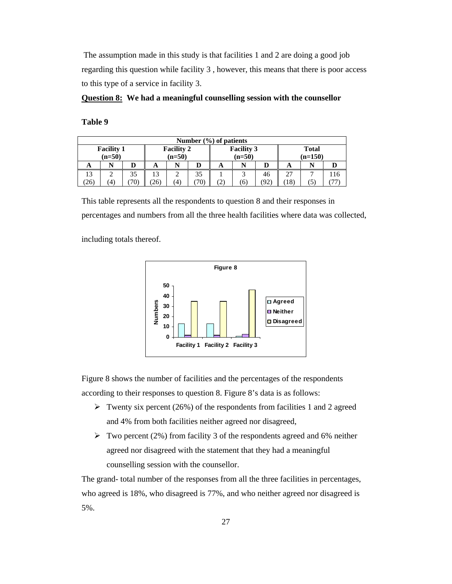The assumption made in this study is that facilities 1 and 2 are doing a good job regarding this question while facility 3 , however, this means that there is poor access to this type of a service in facility 3.

**Question 8: We had a meaningful counselling session with the counsellor**

**Table 9** 

|                |                               |     |     |                               | Number $(\% )$ of patients |                   |                               |     |                           |               |     |  |
|----------------|-------------------------------|-----|-----|-------------------------------|----------------------------|-------------------|-------------------------------|-----|---------------------------|---------------|-----|--|
|                | <b>Facility 1</b><br>$(n=50)$ |     |     | <b>Facility 2</b><br>$(n=50)$ |                            |                   | <b>Facility 3</b><br>$(n=50)$ |     | <b>Total</b><br>$(n=150)$ |               |     |  |
| A              |                               |     | A   |                               |                            | A                 | N                             |     | A                         |               |     |  |
| 13             |                               | 35  | 13  |                               | 35                         |                   | 3                             | 46  | 27                        |               | 116 |  |
| $^{\prime}26)$ | ΄4                            | 70) | 26) | (4)                           | 70)                        | $\left( 2\right)$ | (6)                           | 92, | 18)                       | $\mathcal{D}$ |     |  |

This table represents all the respondents to question 8 and their responses in percentages and numbers from all the three health facilities where data was collected,

including totals thereof.



Figure 8 shows the number of facilities and the percentages of the respondents according to their responses to question 8. Figure 8's data is as follows:

- $\triangleright$  Twenty six percent (26%) of the respondents from facilities 1 and 2 agreed and 4% from both facilities neither agreed nor disagreed,
- $\triangleright$  Two percent (2%) from facility 3 of the respondents agreed and 6% neither agreed nor disagreed with the statement that they had a meaningful counselling session with the counsellor.

The grand- total number of the responses from all the three facilities in percentages, who agreed is 18%, who disagreed is 77%, and who neither agreed nor disagreed is 5%.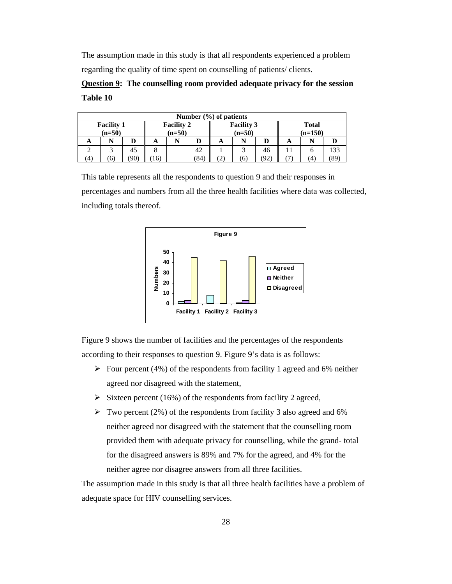The assumption made in this study is that all respondents experienced a problem regarding the quality of time spent on counselling of patients/ clients.

# **Question 9: The counselling room provided adequate privacy for the session Table 10**

|                                                                |        |    |  |  |    | Number $(\% )$ of patients                                 |     |     |   |     |      |
|----------------------------------------------------------------|--------|----|--|--|----|------------------------------------------------------------|-----|-----|---|-----|------|
| <b>Facility 2</b><br><b>Facility 1</b><br>$(n=50)$<br>$(n=50)$ |        |    |  |  |    | <b>Facility 3</b><br><b>Total</b><br>$(n=50)$<br>$(n=150)$ |     |     |   |     |      |
| A                                                              | N<br>A |    |  |  |    | A                                                          |     | D   | A |     |      |
|                                                                |        | 45 |  |  | 42 |                                                            |     | 46  |   |     | 133  |
| (90)<br>84<br>(4)<br>(6)<br>6                                  |        |    |  |  |    | $\left( 2\right)$                                          | (6) | (92 |   | (4) | (89) |

This table represents all the respondents to question 9 and their responses in percentages and numbers from all the three health facilities where data was collected, including totals thereof.



Figure 9 shows the number of facilities and the percentages of the respondents according to their responses to question 9. Figure 9's data is as follows:

- $\triangleright$  Four percent (4%) of the respondents from facility 1 agreed and 6% neither agreed nor disagreed with the statement,
- $\triangleright$  Sixteen percent (16%) of the respondents from facility 2 agreed,
- $\triangleright$  Two percent (2%) of the respondents from facility 3 also agreed and 6% neither agreed nor disagreed with the statement that the counselling room provided them with adequate privacy for counselling, while the grand- total for the disagreed answers is 89% and 7% for the agreed, and 4% for the neither agree nor disagree answers from all three facilities.

The assumption made in this study is that all three health facilities have a problem of adequate space for HIV counselling services.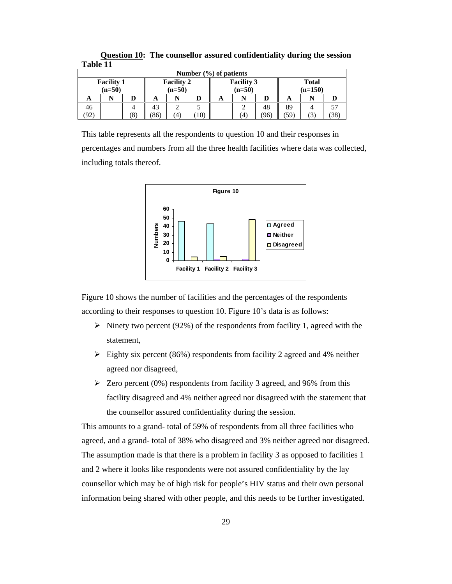| ******* |                      |                   |      |                   |                 |                            |                   |    |              |  |    |  |
|---------|----------------------|-------------------|------|-------------------|-----------------|----------------------------|-------------------|----|--------------|--|----|--|
|         |                      |                   |      |                   |                 | Number $(\% )$ of patients |                   |    |              |  |    |  |
|         | <b>Facility 1</b>    |                   |      | <b>Facility 2</b> |                 |                            | <b>Facility 3</b> |    | <b>Total</b> |  |    |  |
|         | $(n=50)$<br>$(n=50)$ |                   |      |                   |                 | $(n=50)$                   |                   |    | $(n=150)$    |  |    |  |
| A       |                      |                   | A    | N                 | D               | A                          | N                 | D  | A            |  |    |  |
| 46      |                      |                   | 43   |                   |                 |                            |                   | 48 | 89           |  |    |  |
| '92,    |                      | $\left( 8\right)$ | (86) | $\left( 4\right)$ | 10 <sub>l</sub> |                            | (4)               | 96 | 59)          |  | 38 |  |

**Question 10: The counsellor assured confidentiality during the session Table 11** 

This table represents all the respondents to question 10 and their responses in percentages and numbers from all the three health facilities where data was collected, including totals thereof.



Figure 10 shows the number of facilities and the percentages of the respondents according to their responses to question 10. Figure 10's data is as follows:

- $\triangleright$  Ninety two percent (92%) of the respondents from facility 1, agreed with the statement,
- $\triangleright$  Eighty six percent (86%) respondents from facility 2 agreed and 4% neither agreed nor disagreed,
- $\geq$  Zero percent (0%) respondents from facility 3 agreed, and 96% from this facility disagreed and 4% neither agreed nor disagreed with the statement that the counsellor assured confidentiality during the session.

This amounts to a grand- total of 59% of respondents from all three facilities who agreed, and a grand- total of 38% who disagreed and 3% neither agreed nor disagreed. The assumption made is that there is a problem in facility 3 as opposed to facilities 1 and 2 where it looks like respondents were not assured confidentiality by the lay counsellor which may be of high risk for people's HIV status and their own personal information being shared with other people, and this needs to be further investigated.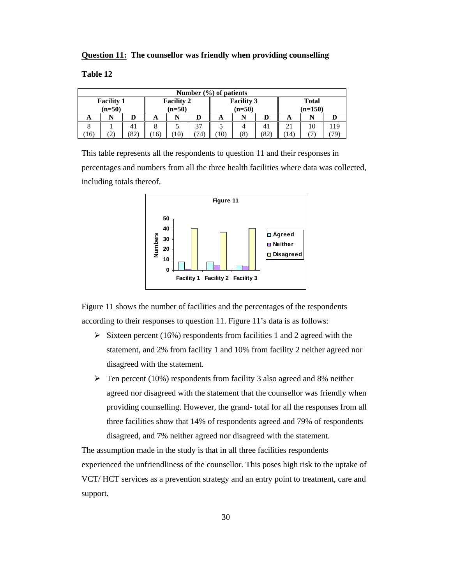|  | <b>Question 11:</b> The counsellor was friendly when providing counselling |  |  |
|--|----------------------------------------------------------------------------|--|--|
|  |                                                                            |  |  |

|     |                                                                |      |    |                 |     | Number $(\% )$ of patients    |     |                           |    |    |    |
|-----|----------------------------------------------------------------|------|----|-----------------|-----|-------------------------------|-----|---------------------------|----|----|----|
|     | <b>Facility 1</b><br><b>Facility 2</b><br>$(n=50)$<br>$(n=50)$ |      |    |                 |     | <b>Facility 3</b><br>$(n=50)$ |     | <b>Total</b><br>$(n=150)$ |    |    |    |
| A   |                                                                |      | A  |                 |     | A                             | N   |                           | A  |    |    |
|     |                                                                | 41   |    |                 | 37  |                               | 4   | 41                        |    | 10 | 19 |
| 16) | 2                                                              | (82) | 16 | 10 <sup>2</sup> | 74, | $10^{\circ}$                  | (8) | ′82.                      | 14 |    |    |

This table represents all the respondents to question 11 and their responses in percentages and numbers from all the three health facilities where data was collected, including totals thereof.



Figure 11 shows the number of facilities and the percentages of the respondents according to their responses to question 11. Figure 11's data is as follows:

- $\triangleright$  Sixteen percent (16%) respondents from facilities 1 and 2 agreed with the statement, and 2% from facility 1 and 10% from facility 2 neither agreed nor disagreed with the statement.
- $\triangleright$  Ten percent (10%) respondents from facility 3 also agreed and 8% neither agreed nor disagreed with the statement that the counsellor was friendly when providing counselling. However, the grand- total for all the responses from all three facilities show that 14% of respondents agreed and 79% of respondents disagreed, and 7% neither agreed nor disagreed with the statement.

The assumption made in the study is that in all three facilities respondents experienced the unfriendliness of the counsellor. This poses high risk to the uptake of VCT/ HCT services as a prevention strategy and an entry point to treatment, care and support.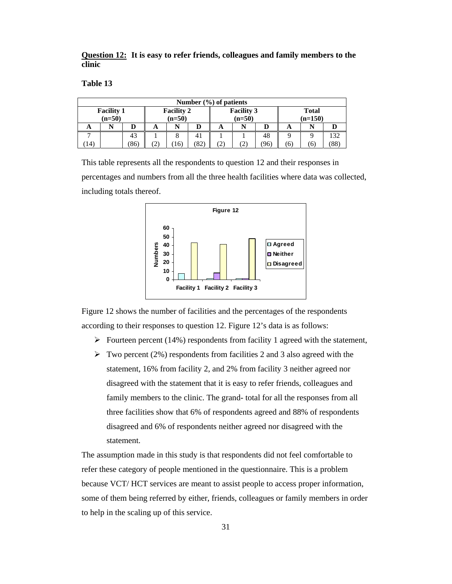**Question 12: It is easy to refer friends, colleagues and family members to the clinic** 

|    |                               |                               |  |     |                       | Number $(\% )$ of patients |                               |      |                           |    |                       |  |
|----|-------------------------------|-------------------------------|--|-----|-----------------------|----------------------------|-------------------------------|------|---------------------------|----|-----------------------|--|
|    | <b>Facility 1</b><br>$(n=50)$ | <b>Facility 2</b><br>$(n=50)$ |  |     |                       |                            | <b>Facility 3</b><br>$(n=50)$ |      | <b>Total</b><br>$(n=150)$ |    |                       |  |
| A  |                               | N<br>D<br>A<br>A              |  |     |                       |                            |                               | A    |                           |    |                       |  |
|    |                               | 43                            |  |     |                       |                            |                               | 48   |                           |    | 132                   |  |
| 14 |                               | (86)                          |  | 16) | $^{\prime}82^{\cdot}$ | (2)                        | $\mathbf{2}$                  | (96) | <sub>0</sub>              | 6) | $^{\prime}88^{\cdot}$ |  |

This table represents all the respondents to question 12 and their responses in percentages and numbers from all the three health facilities where data was collected, including totals thereof.



Figure 12 shows the number of facilities and the percentages of the respondents according to their responses to question 12. Figure 12's data is as follows:

- $\triangleright$  Fourteen percent (14%) respondents from facility 1 agreed with the statement,
- $\triangleright$  Two percent (2%) respondents from facilities 2 and 3 also agreed with the statement, 16% from facility 2, and 2% from facility 3 neither agreed nor disagreed with the statement that it is easy to refer friends, colleagues and family members to the clinic. The grand- total for all the responses from all three facilities show that 6% of respondents agreed and 88% of respondents disagreed and 6% of respondents neither agreed nor disagreed with the statement.

The assumption made in this study is that respondents did not feel comfortable to refer these category of people mentioned in the questionnaire. This is a problem because VCT/ HCT services are meant to assist people to access proper information, some of them being referred by either, friends, colleagues or family members in order to help in the scaling up of this service.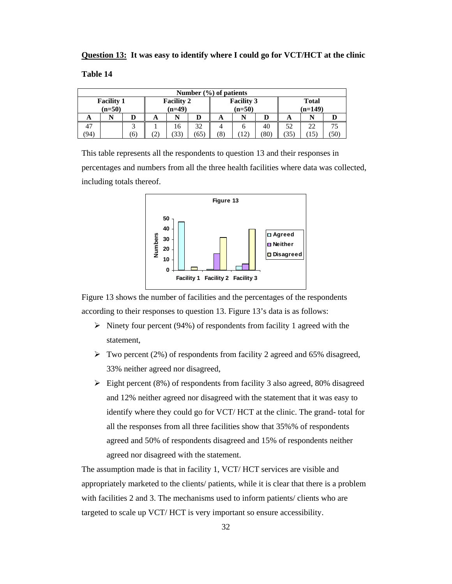| Question 13: It was easy to identify where I could go for VCT/HCT at the clinic |
|---------------------------------------------------------------------------------|
|---------------------------------------------------------------------------------|

|      |                                                                |              |   |          |      | Number $(\% )$ of patients                                 |            |    |    |                  |  |  |
|------|----------------------------------------------------------------|--------------|---|----------|------|------------------------------------------------------------|------------|----|----|------------------|--|--|
|      | <b>Facility 1</b><br><b>Facility 2</b><br>$(n=49)$<br>$(n=50)$ |              |   |          |      | <b>Facility 3</b><br><b>Total</b><br>$(n=50)$<br>$(n=149)$ |            |    |    |                  |  |  |
| A    |                                                                |              | A | N        |      | A                                                          | N          |    | A  | N                |  |  |
| 47   |                                                                | ⌒            |   | 32<br>16 |      |                                                            | o          | 40 | 52 | 22               |  |  |
| (94) |                                                                | <sup>6</sup> |   | (33)     | (65) | (8)                                                        | 78O)<br>12 |    |    | (35)<br>15<br>50 |  |  |

This table represents all the respondents to question 13 and their responses in percentages and numbers from all the three health facilities where data was collected, including totals thereof.



Figure 13 shows the number of facilities and the percentages of the respondents according to their responses to question 13. Figure 13's data is as follows:

- $\triangleright$  Ninety four percent (94%) of respondents from facility 1 agreed with the statement,
- $\triangleright$  Two percent (2%) of respondents from facility 2 agreed and 65% disagreed, 33% neither agreed nor disagreed,
- $\triangleright$  Eight percent (8%) of respondents from facility 3 also agreed, 80% disagreed and 12% neither agreed nor disagreed with the statement that it was easy to identify where they could go for VCT/ HCT at the clinic. The grand- total for all the responses from all three facilities show that 35%% of respondents agreed and 50% of respondents disagreed and 15% of respondents neither agreed nor disagreed with the statement.

The assumption made is that in facility 1, VCT/ HCT services are visible and appropriately marketed to the clients/ patients, while it is clear that there is a problem with facilities 2 and 3. The mechanisms used to inform patients/ clients who are targeted to scale up VCT/ HCT is very important so ensure accessibility.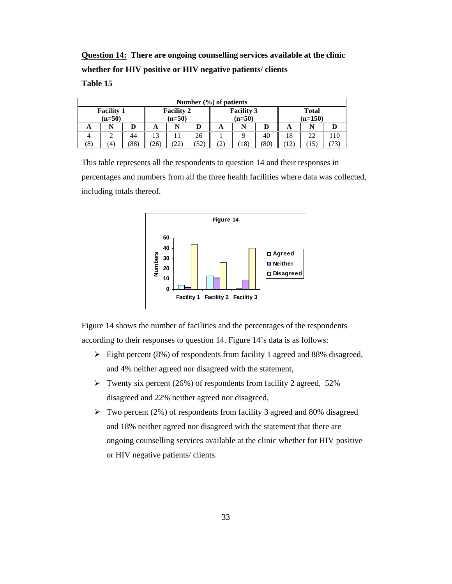**Question 14: There are ongoing counselling services available at the clinic whether for HIV positive or HIV negative patients/ clients** 

**Table 15** 

|                                                                |   |    |    |   |    | Number $(\% )$ of patients |                               |     |                           |            |     |  |
|----------------------------------------------------------------|---|----|----|---|----|----------------------------|-------------------------------|-----|---------------------------|------------|-----|--|
| <b>Facility 2</b><br><b>Facility 1</b><br>$(n=50)$<br>$(n=50)$ |   |    |    |   |    |                            | <b>Facility 3</b><br>$(n=50)$ |     | <b>Total</b><br>$(n=150)$ |            |     |  |
| N<br>A<br>А                                                    |   |    |    | N |    | N<br>D<br>A<br>A           |                               |     |                           |            |     |  |
|                                                                | ∼ | 44 | 13 |   | 26 |                            |                               | 40  | 18                        | 22         | 110 |  |
| (52)<br>(88)<br>(8)<br>(22)<br>4)<br>(26)                      |   |    |    |   |    | (2)                        | (18)                          | '80 |                           | $15^\circ$ |     |  |

This table represents all the respondents to question 14 and their responses in percentages and numbers from all the three health facilities where data was collected, including totals thereof.



Figure 14 shows the number of facilities and the percentages of the respondents according to their responses to question 14. Figure 14's data is as follows:

- $\triangleright$  Eight percent (8%) of respondents from facility 1 agreed and 88% disagreed, and 4% neither agreed nor disagreed with the statement,
- $\triangleright$  Twenty six percent (26%) of respondents from facility 2 agreed, 52% disagreed and 22% neither agreed nor disagreed,
- $\triangleright$  Two percent (2%) of respondents from facility 3 agreed and 80% disagreed and 18% neither agreed nor disagreed with the statement that there are ongoing counselling services available at the clinic whether for HIV positive or HIV negative patients/ clients.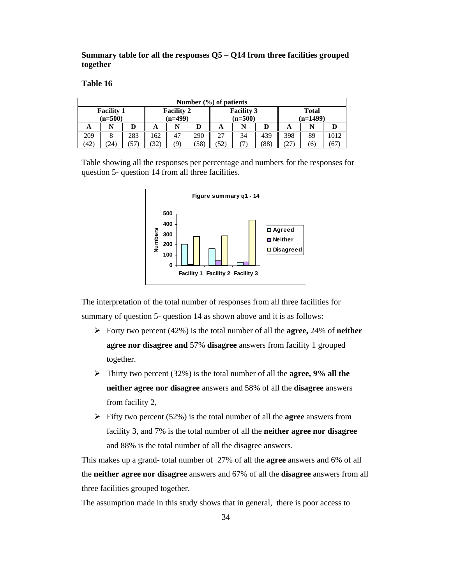**Summary table for all the responses Q5 – Q14 from three facilities grouped together** 

|                                        |                            |     |     |    |     | Number $(\% )$ of patients |                   |     |              |    |      |  |
|----------------------------------------|----------------------------|-----|-----|----|-----|----------------------------|-------------------|-----|--------------|----|------|--|
| <b>Facility 1</b><br><b>Facility 2</b> |                            |     |     |    |     |                            | <b>Facility 3</b> |     | <b>Total</b> |    |      |  |
|                                        | $(n=499)$<br>$(n=500)$     |     |     |    |     |                            | (n=500)           |     | $(n=1499)$   |    |      |  |
| A                                      |                            |     | A   | N  | D   | A                          | N                 | D   | A            |    |      |  |
| 209                                    | 8                          | 283 | 162 | 47 | 290 | 27                         | 34                | 439 | 398          | 89 | 1012 |  |
| (42)                                   | (58)<br>(9)<br>32)<br>'24) |     |     |    |     | (52)                       |                   | 88  | 27           | 6) | 6/   |  |

Table showing all the responses per percentage and numbers for the responses for question 5- question 14 from all three facilities.



The interpretation of the total number of responses from all three facilities for summary of question 5- question 14 as shown above and it is as follows:

- Forty two percent (42%) is the total number of all the **agree,** 24% of **neither agree nor disagree and** 57% **disagree** answers from facility 1 grouped together.
- Thirty two percent (32%) is the total number of all the **agree, 9% all the neither agree nor disagree** answers and 58% of all the **disagree** answers from facility 2,
- Fifty two percent (52%) is the total number of all the **agree** answers from facility 3, and 7% is the total number of all the **neither agree nor disagree**  and 88% is the total number of all the disagree answers.

This makes up a grand- total number of 27% of all the **agree** answers and 6% of all the **neither agree nor disagree** answers and 67% of all the **disagree** answers from all three facilities grouped together.

The assumption made in this study shows that in general, there is poor access to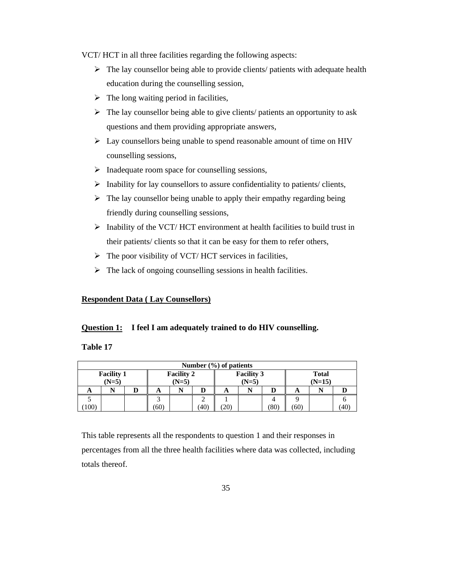VCT/ HCT in all three facilities regarding the following aspects:

- $\triangleright$  The lay counsellor being able to provide clients/ patients with adequate health education during the counselling session,
- $\triangleright$  The long waiting period in facilities,
- $\triangleright$  The lay counsellor being able to give clients/ patients an opportunity to ask questions and them providing appropriate answers,
- $\triangleright$  Lay counsellors being unable to spend reasonable amount of time on HIV counselling sessions,
- $\triangleright$  Inadequate room space for counselling sessions,
- $\triangleright$  Inability for lay counsellors to assure confidentiality to patients/ clients,
- $\triangleright$  The lay counsellor being unable to apply their empathy regarding being friendly during counselling sessions,
- $\triangleright$  Inability of the VCT/HCT environment at health facilities to build trust in their patients/ clients so that it can be easy for them to refer others,
- $\triangleright$  The poor visibility of VCT/ HCT services in facilities,
- $\triangleright$  The lack of ongoing counselling sessions in health facilities.

#### **Respondent Data ( Lay Counsellors)**

#### **Question 1: I feel I am adequately trained to do HIV counselling.**

**Table 17** 

|                                                              | Number $(\% )$ of patients |  |      |                              |      |     |                          |      |      |  |      |
|--------------------------------------------------------------|----------------------------|--|------|------------------------------|------|-----|--------------------------|------|------|--|------|
| <b>Facility 1</b><br><b>Facility 2</b><br>$(N=5)$<br>$(N=5)$ |                            |  |      | <b>Facility 3</b><br>$(N=5)$ |      |     | <b>Total</b><br>$(N=15)$ |      |      |  |      |
| A                                                            |                            |  | A    |                              | D    | A   |                          | D    | A    |  |      |
|                                                              |                            |  |      |                              |      |     |                          |      |      |  |      |
| 100                                                          |                            |  | (60) |                              | (40) | 20) |                          | (80) | (60) |  | (40) |

This table represents all the respondents to question 1 and their responses in percentages from all the three health facilities where data was collected, including totals thereof.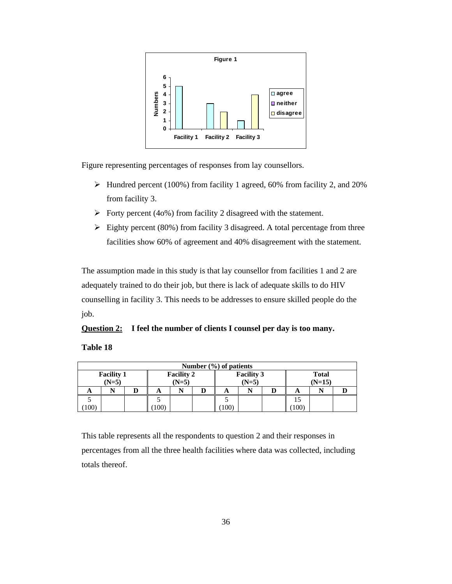

Figure representing percentages of responses from lay counsellors.

- Hundred percent (100%) from facility 1 agreed, 60% from facility 2, and 20% from facility 3.
- $\triangleright$  Forty percent (40%) from facility 2 disagreed with the statement.
- $\triangleright$  Eighty percent (80%) from facility 3 disagreed. A total percentage from three facilities show 60% of agreement and 40% disagreement with the statement.

The assumption made in this study is that lay counsellor from facilities 1 and 2 are adequately trained to do their job, but there is lack of adequate skills to do HIV counselling in facility 3. This needs to be addresses to ensure skilled people do the job.

## **Question 2: I feel the number of clients I counsel per day is too many.**

#### **Table 18**

|                                        | Number $(\% )$ of patients |  |         |  |                   |             |              |  |                |  |  |
|----------------------------------------|----------------------------|--|---------|--|-------------------|-------------|--------------|--|----------------|--|--|
| <b>Facility 1</b><br><b>Facility 2</b> |                            |  |         |  | <b>Facility 3</b> |             | <b>Total</b> |  |                |  |  |
| $(N=5)$                                |                            |  | $(N=5)$ |  |                   | $(N=5)$     |              |  | $(N=15)$       |  |  |
| A                                      |                            |  | A       |  |                   | A           |              |  | A              |  |  |
|                                        |                            |  |         |  |                   |             |              |  |                |  |  |
| 100                                    |                            |  | 100)    |  |                   | $100^\circ$ |              |  | $^{\prime}100$ |  |  |

This table represents all the respondents to question 2 and their responses in percentages from all the three health facilities where data was collected, including totals thereof.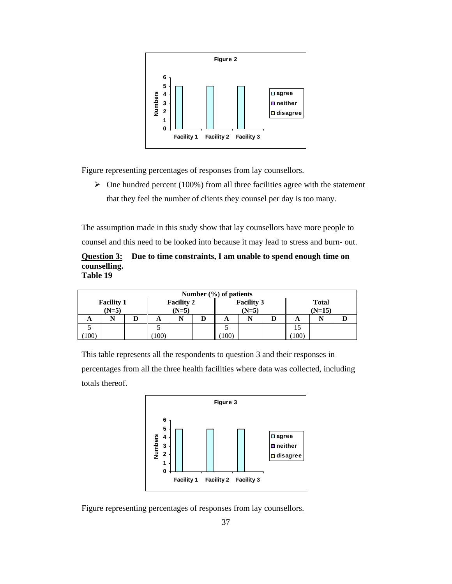

Figure representing percentages of responses from lay counsellors.

 $\triangleright$  One hundred percent (100%) from all three facilities agree with the statement that they feel the number of clients they counsel per day is too many.

The assumption made in this study show that lay counsellors have more people to counsel and this need to be looked into because it may lead to stress and burn- out.

**Question 3: Due to time constraints, I am unable to spend enough time on counselling. Table 19** 

|                              | Number $(\% )$ of patients |  |                              |  |                              |             |  |                          |     |  |  |
|------------------------------|----------------------------|--|------------------------------|--|------------------------------|-------------|--|--------------------------|-----|--|--|
| <b>Facility 1</b><br>$(N=5)$ |                            |  | <b>Facility 2</b><br>$(N=5)$ |  | <b>Facility 3</b><br>$(N=5)$ |             |  | <b>Total</b><br>$(N=15)$ |     |  |  |
|                              |                            |  |                              |  |                              |             |  |                          |     |  |  |
| A                            |                            |  | A                            |  |                              | A           |  |                          | A   |  |  |
|                              |                            |  |                              |  |                              |             |  |                          |     |  |  |
| (100)                        |                            |  | 100                          |  |                              | $100^\circ$ |  |                          | 100 |  |  |

This table represents all the respondents to question 3 and their responses in percentages from all the three health facilities where data was collected, including totals thereof.



Figure representing percentages of responses from lay counsellors.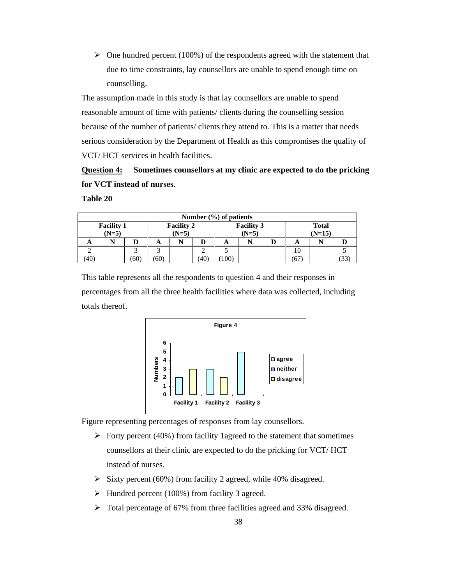$\triangleright$  One hundred percent (100%) of the respondents agreed with the statement that due to time constraints, lay counsellors are unable to spend enough time on counselling.

The assumption made in this study is that lay counsellors are unable to spend reasonable amount of time with patients/ clients during the counselling session because of the number of patients/ clients they attend to. This is a matter that needs serious consideration by the Department of Health as this compromises the quality of VCT/ HCT services in health facilities.

# **Question 4: Sometimes counsellors at my clinic are expected to do the pricking for VCT instead of nurses.**

**Table 20** 

| Number $(\% )$ of patients   |  |      |                              |  |    |                              |  |   |                          |  |  |
|------------------------------|--|------|------------------------------|--|----|------------------------------|--|---|--------------------------|--|--|
| <b>Facility 1</b><br>$(N=5)$ |  |      | <b>Facility 2</b><br>$(N=5)$ |  |    | <b>Facility 3</b><br>$(N=5)$ |  |   | <b>Total</b><br>$(N=15)$ |  |  |
| A                            |  | D    | A                            |  | D  | A                            |  | D | A                        |  |  |
|                              |  |      |                              |  |    |                              |  |   | 10                       |  |  |
| (40)                         |  | (60) | (60)                         |  | 40 | 100)                         |  |   | 67                       |  |  |

This table represents all the respondents to question 4 and their responses in percentages from all the three health facilities where data was collected, including totals thereof.



Figure representing percentages of responses from lay counsellors.

- $\triangleright$  Forty percent (40%) from facility 1agreed to the statement that sometimes counsellors at their clinic are expected to do the pricking for VCT/ HCT instead of nurses.
- $\triangleright$  Sixty percent (60%) from facility 2 agreed, while 40% disagreed.
- $\blacktriangleright$  Hundred percent (100%) from facility 3 agreed.
- Total percentage of 67% from three facilities agreed and 33% disagreed.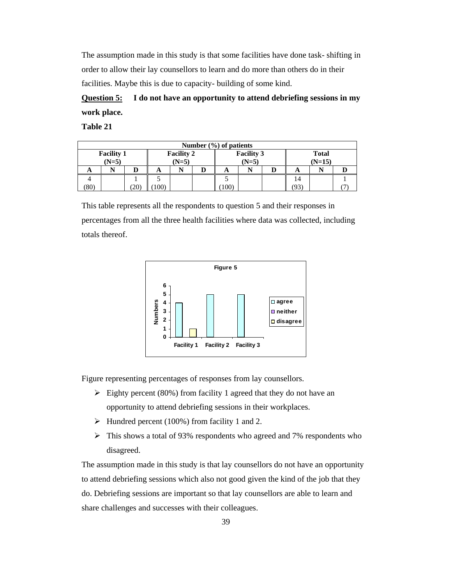The assumption made in this study is that some facilities have done task- shifting in order to allow their lay counsellors to learn and do more than others do in their facilities. Maybe this is due to capacity- building of some kind.

**Question 5: I do not have an opportunity to attend debriefing sessions in my work place.**

**Table 21** 

|                                        | Number $(\% )$ of patients |      |                   |   |  |              |  |  |          |  |  |
|----------------------------------------|----------------------------|------|-------------------|---|--|--------------|--|--|----------|--|--|
| <b>Facility 2</b><br><b>Facility 1</b> |                            |      | <b>Facility 3</b> |   |  | <b>Total</b> |  |  |          |  |  |
| $(N=5)$                                |                            |      | $(N=5)$           |   |  | $(N=5)$      |  |  | $(N=15)$ |  |  |
| A                                      | N                          |      | A                 | N |  | A            |  |  | A        |  |  |
|                                        |                            |      |                   |   |  |              |  |  | 14       |  |  |
| (80)                                   |                            | (20) | 100)              |   |  | 100)         |  |  | 93       |  |  |

This table represents all the respondents to question 5 and their responses in percentages from all the three health facilities where data was collected, including totals thereof.



Figure representing percentages of responses from lay counsellors.

- $\triangleright$  Eighty percent (80%) from facility 1 agreed that they do not have an opportunity to attend debriefing sessions in their workplaces.
- $\blacktriangleright$  Hundred percent (100%) from facility 1 and 2.
- This shows a total of 93% respondents who agreed and 7% respondents who disagreed.

The assumption made in this study is that lay counsellors do not have an opportunity to attend debriefing sessions which also not good given the kind of the job that they do. Debriefing sessions are important so that lay counsellors are able to learn and share challenges and successes with their colleagues.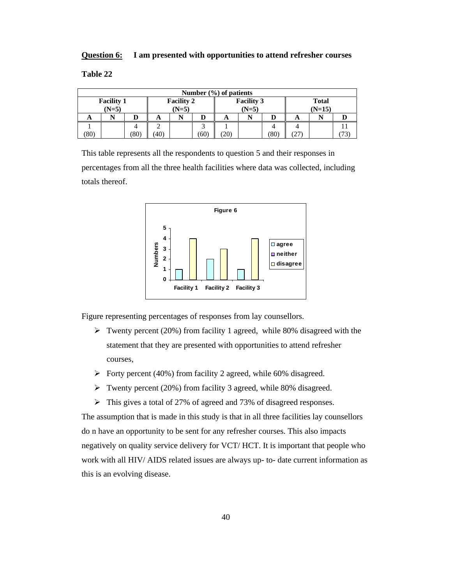#### **Question 6: I am presented with opportunities to attend refresher courses**

**Table 22** 

| Number $(\frac{6}{6})$ of patients                           |  |      |                              |   |      |                          |  |      |               |  |  |
|--------------------------------------------------------------|--|------|------------------------------|---|------|--------------------------|--|------|---------------|--|--|
| <b>Facility 1</b><br><b>Facility 2</b><br>$(N=5)$<br>$(N=5)$ |  |      | <b>Facility 3</b><br>$(N=5)$ |   |      | <b>Total</b><br>$(N=15)$ |  |      |               |  |  |
| A                                                            |  |      | A                            | N | D    | A                        |  |      | n             |  |  |
|                                                              |  |      |                              |   | ◠    |                          |  |      |               |  |  |
| (80)                                                         |  | (80) | (40)                         |   | (60) | 20.                      |  | (80) | $\mathcal{L}$ |  |  |

This table represents all the respondents to question 5 and their responses in percentages from all the three health facilities where data was collected, including totals thereof.



Figure representing percentages of responses from lay counsellors.

- $\triangleright$  Twenty percent (20%) from facility 1 agreed, while 80% disagreed with the statement that they are presented with opportunities to attend refresher courses,
- $\triangleright$  Forty percent (40%) from facility 2 agreed, while 60% disagreed.
- Twenty percent (20%) from facility 3 agreed, while 80% disagreed.
- In This gives a total of 27% of agreed and 73% of disagreed responses.

The assumption that is made in this study is that in all three facilities lay counsellors do n have an opportunity to be sent for any refresher courses. This also impacts negatively on quality service delivery for VCT/ HCT. It is important that people who work with all HIV/ AIDS related issues are always up- to- date current information as this is an evolving disease.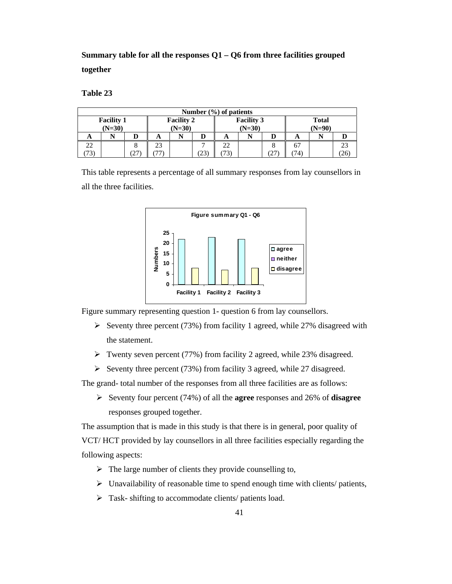**Summary table for all the responses Q1 – Q6 from three facilities grouped together** 

**Table 23** 

| Number $(\% )$ of patients    |  |              |    |                               |     |                               |  |    |                          |  |    |
|-------------------------------|--|--------------|----|-------------------------------|-----|-------------------------------|--|----|--------------------------|--|----|
| <b>Facility 1</b><br>$(N=30)$ |  |              |    | <b>Facility 2</b><br>$(N=30)$ |     | <b>Facility 3</b><br>$(N=30)$ |  |    | <b>Total</b><br>$(N=90)$ |  |    |
| A                             |  |              | A  |                               |     | A                             |  |    | A                        |  |    |
| 22                            |  |              | 23 |                               |     | 22                            |  |    | 67                       |  | 23 |
| 72                            |  | <u>، ، ،</u> |    |                               | 25. | 73,                           |  | 27 | 74.                      |  | 26 |

This table represents a percentage of all summary responses from lay counsellors in all the three facilities.



Figure summary representing question 1- question 6 from lay counsellors.

- Seventy three percent (73%) from facility 1 agreed, while 27% disagreed with the statement.
- $\triangleright$  Twenty seven percent (77%) from facility 2 agreed, while 23% disagreed.
- Seventy three percent (73%) from facility 3 agreed, while 27 disagreed.

The grand- total number of the responses from all three facilities are as follows:

 Seventy four percent (74%) of all the **agree** responses and 26% of **disagree** responses grouped together.

The assumption that is made in this study is that there is in general, poor quality of VCT/ HCT provided by lay counsellors in all three facilities especially regarding the following aspects:

- $\triangleright$  The large number of clients they provide counselling to,
- $\triangleright$  Unavailability of reasonable time to spend enough time with clients/ patients,
- > Task- shifting to accommodate clients/ patients load.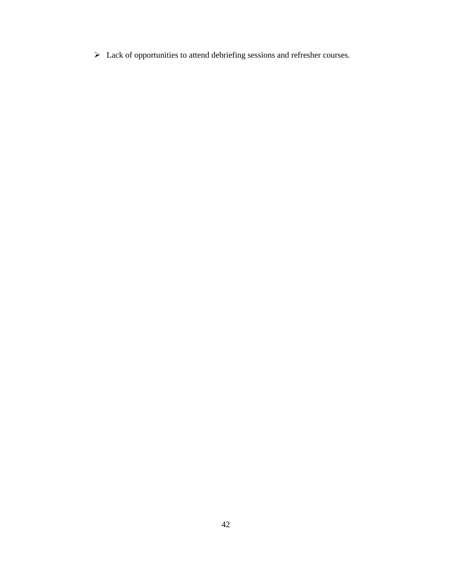$\triangleright$  Lack of opportunities to attend debriefing sessions and refresher courses.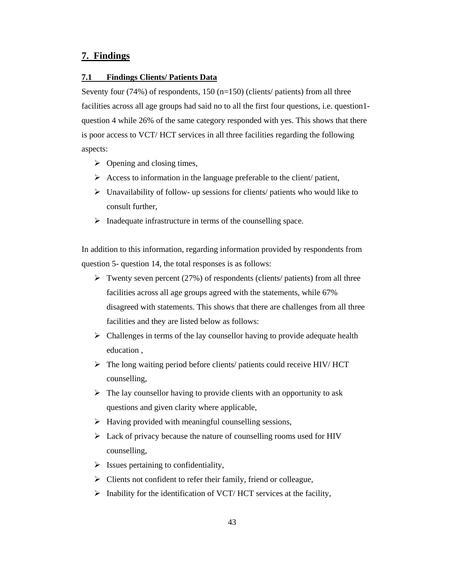# **7. Findings**

#### **7.1 Findings Clients/ Patients Data**

Seventy four (74%) of respondents, 150 (n=150) (clients/ patients) from all three facilities across all age groups had said no to all the first four questions, i.e. question1 question 4 while 26% of the same category responded with yes. This shows that there is poor access to VCT/ HCT services in all three facilities regarding the following aspects:

- $\triangleright$  Opening and closing times,
- $\triangleright$  Access to information in the language preferable to the client/ patient,
- $\triangleright$  Unavailability of follow- up sessions for clients/ patients who would like to consult further,
- $\triangleright$  Inadequate infrastructure in terms of the counselling space.

In addition to this information, regarding information provided by respondents from question 5- question 14, the total responses is as follows:

- $\triangleright$  Twenty seven percent (27%) of respondents (clients/ patients) from all three facilities across all age groups agreed with the statements, while 67% disagreed with statements. This shows that there are challenges from all three facilities and they are listed below as follows:
- $\triangleright$  Challenges in terms of the lay counsellor having to provide adequate health education ,
- The long waiting period before clients/ patients could receive HIV/ HCT counselling,
- $\triangleright$  The lay counsellor having to provide clients with an opportunity to ask questions and given clarity where applicable,
- $\triangleright$  Having provided with meaningful counselling sessions,
- $\triangleright$  Lack of privacy because the nature of counselling rooms used for HIV counselling,
- $\triangleright$  Issues pertaining to confidentiality,
- $\triangleright$  Clients not confident to refer their family, friend or colleague,
- $\triangleright$  Inability for the identification of VCT/HCT services at the facility,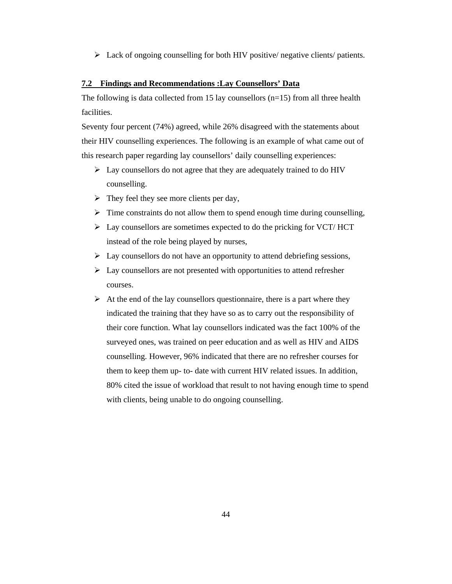$\triangleright$  Lack of ongoing counselling for both HIV positive/ negative clients/ patients.

#### **7.2 Findings and Recommendations :Lay Counsellors' Data**

The following is data collected from 15 lay counsellors  $(n=15)$  from all three health facilities.

Seventy four percent (74%) agreed, while 26% disagreed with the statements about their HIV counselling experiences. The following is an example of what came out of this research paper regarding lay counsellors' daily counselling experiences:

- $\triangleright$  Lay counsellors do not agree that they are adequately trained to do HIV counselling.
- $\triangleright$  They feel they see more clients per day,
- $\triangleright$  Time constraints do not allow them to spend enough time during counselling,
- $\triangleright$  Lay counsellors are sometimes expected to do the pricking for VCT/ HCT instead of the role being played by nurses,
- $\triangleright$  Lay counsellors do not have an opportunity to attend debriefing sessions,
- $\triangleright$  Lay counsellors are not presented with opportunities to attend refresher courses.
- $\triangleright$  At the end of the lay counsellors questionnaire, there is a part where they indicated the training that they have so as to carry out the responsibility of their core function. What lay counsellors indicated was the fact 100% of the surveyed ones, was trained on peer education and as well as HIV and AIDS counselling. However, 96% indicated that there are no refresher courses for them to keep them up- to- date with current HIV related issues. In addition, 80% cited the issue of workload that result to not having enough time to spend with clients, being unable to do ongoing counselling.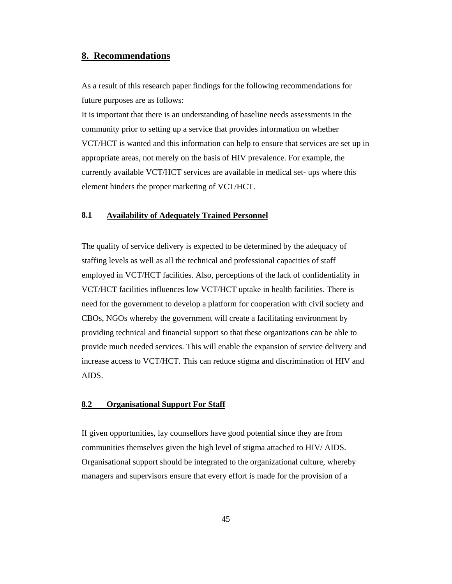## **8. Recommendations**

As a result of this research paper findings for the following recommendations for future purposes are as follows:

It is important that there is an understanding of baseline needs assessments in the community prior to setting up a service that provides information on whether VCT/HCT is wanted and this information can help to ensure that services are set up in appropriate areas, not merely on the basis of HIV prevalence. For example, the currently available VCT/HCT services are available in medical set- ups where this element hinders the proper marketing of VCT/HCT.

## **8.1 Availability of Adequately Trained Personnel**

The quality of service delivery is expected to be determined by the adequacy of staffing levels as well as all the technical and professional capacities of staff employed in VCT/HCT facilities. Also, perceptions of the lack of confidentiality in VCT/HCT facilities influences low VCT/HCT uptake in health facilities. There is need for the government to develop a platform for cooperation with civil society and CBOs, NGOs whereby the government will create a facilitating environment by providing technical and financial support so that these organizations can be able to provide much needed services. This will enable the expansion of service delivery and increase access to VCT/HCT. This can reduce stigma and discrimination of HIV and AIDS.

#### **8.2 Organisational Support For Staff**

If given opportunities, lay counsellors have good potential since they are from communities themselves given the high level of stigma attached to HIV/ AIDS. Organisational support should be integrated to the organizational culture, whereby managers and supervisors ensure that every effort is made for the provision of a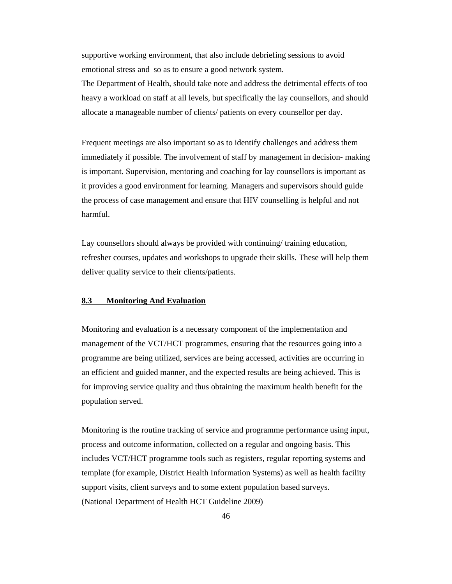supportive working environment, that also include debriefing sessions to avoid emotional stress and so as to ensure a good network system.

The Department of Health, should take note and address the detrimental effects of too heavy a workload on staff at all levels, but specifically the lay counsellors, and should allocate a manageable number of clients/ patients on every counsellor per day.

Frequent meetings are also important so as to identify challenges and address them immediately if possible. The involvement of staff by management in decision- making is important. Supervision, mentoring and coaching for lay counsellors is important as it provides a good environment for learning. Managers and supervisors should guide the process of case management and ensure that HIV counselling is helpful and not harmful.

Lay counsellors should always be provided with continuing/ training education, refresher courses, updates and workshops to upgrade their skills. These will help them deliver quality service to their clients/patients.

## **8.3 Monitoring And Evaluation**

Monitoring and evaluation is a necessary component of the implementation and management of the VCT/HCT programmes, ensuring that the resources going into a programme are being utilized, services are being accessed, activities are occurring in an efficient and guided manner, and the expected results are being achieved. This is for improving service quality and thus obtaining the maximum health benefit for the population served.

Monitoring is the routine tracking of service and programme performance using input, process and outcome information, collected on a regular and ongoing basis. This includes VCT/HCT programme tools such as registers, regular reporting systems and template (for example, District Health Information Systems) as well as health facility support visits, client surveys and to some extent population based surveys. (National Department of Health HCT Guideline 2009)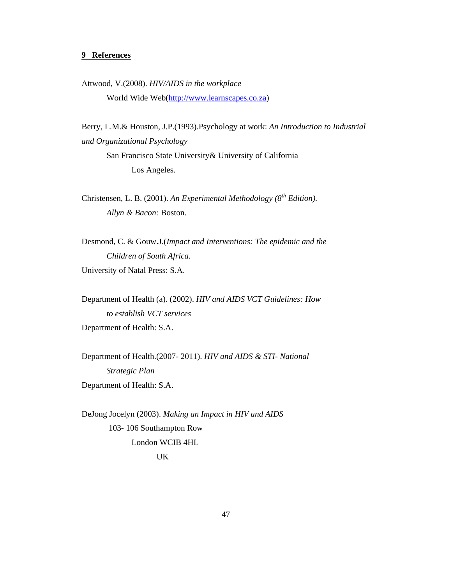## **9 References**

Attwood, V.(2008). *HIV/AIDS in the workplace* World Wide Web(http://www.learnscapes.co.za)

Berry, L.M.& Houston, J.P.(1993).Psychology at work: *An Introduction to Industrial and Organizational Psychology*  San Francisco State University& University of California

Los Angeles.

Christensen, L. B. (2001). *An Experimental Methodology* ( $8^{th}$  Edition).  *Allyn & Bacon:* Boston.

Desmond, C. & Gouw.J.(*Impact and Interventions: The epidemic and the Children of South Africa.*  University of Natal Press: S.A.

Department of Health (a). (2002). *HIV and AIDS VCT Guidelines: How to establish VCT services*  Department of Health: S.A.

Department of Health.(2007- 2011). *HIV and AIDS & STI- National Strategic Plan*  Department of Health: S.A.

DeJong Jocelyn (2003). *Making an Impact in HIV and AIDS* 103- 106 Southampton Row London WCIB 4HL UK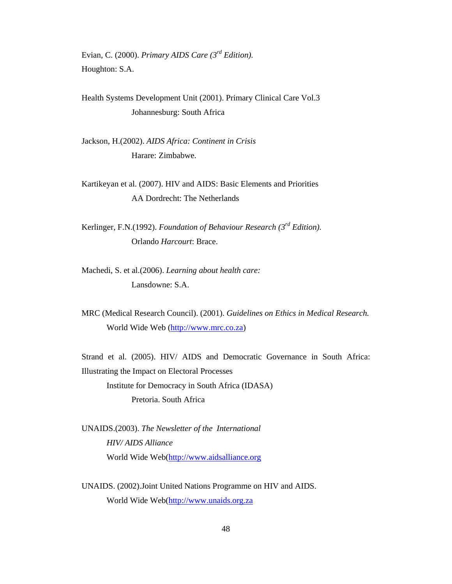Evian, C. (2000). *Primary AIDS Care (3rd Edition).*  Houghton: S.A.

Health Systems Development Unit (2001). Primary Clinical Care Vol.3 Johannesburg: South Africa

Jackson, H.(2002). *AIDS Africa: Continent in Crisis*  Harare: Zimbabwe.

Kartikeyan et al. (2007). HIV and AIDS: Basic Elements and Priorities AA Dordrecht: The Netherlands

Kerlinger, F.N.(1992). *Foundation of Behaviour Research (3rd Edition).* Orlando *Harcourt*: Brace.

Machedi, S. et al.(2006). *Learning about health care:*  Lansdowne: S.A.

MRC (Medical Research Council). (2001). *Guidelines on Ethics in Medical Research.*  World Wide Web (http://www.mrc.co.za)

Strand et al. (2005). HIV/ AIDS and Democratic Governance in South Africa: Illustrating the Impact on Electoral Processes Institute for Democracy in South Africa (IDASA) Pretoria. South Africa

UNAIDS.(2003). *The Newsletter of the International HIV/ AIDS Alliance*  World Wide Web(http://www.aidsalliance.org

UNAIDS. (2002).Joint United Nations Programme on HIV and AIDS. World Wide Web(http://www.unaids.org.za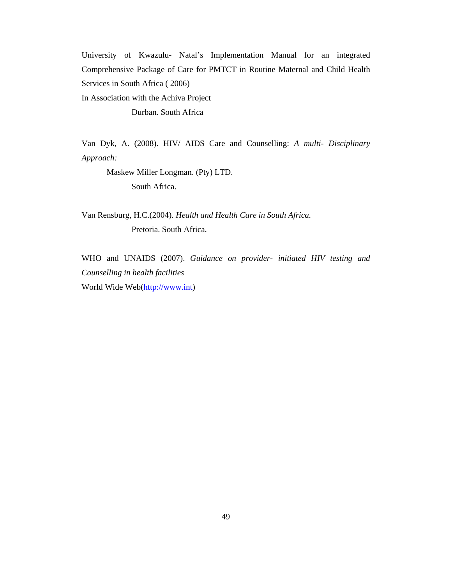University of Kwazulu- Natal's Implementation Manual for an integrated Comprehensive Package of Care for PMTCT in Routine Maternal and Child Health Services in South Africa ( 2006)

In Association with the Achiva Project

Durban. South Africa

Van Dyk, A. (2008). HIV/ AIDS Care and Counselling: *A multi- Disciplinary Approach:* 

Maskew Miller Longman. (Pty) LTD.

South Africa.

Van Rensburg, H.C.(2004). *Health and Health Care in South Africa.*  Pretoria. South Africa.

WHO and UNAIDS (2007). *Guidance on provider- initiated HIV testing and Counselling in health facilities*  World Wide Web(http://www.int)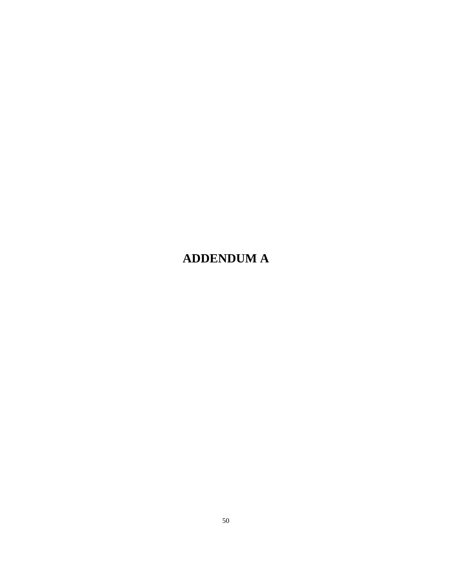# **ADDENDUM A**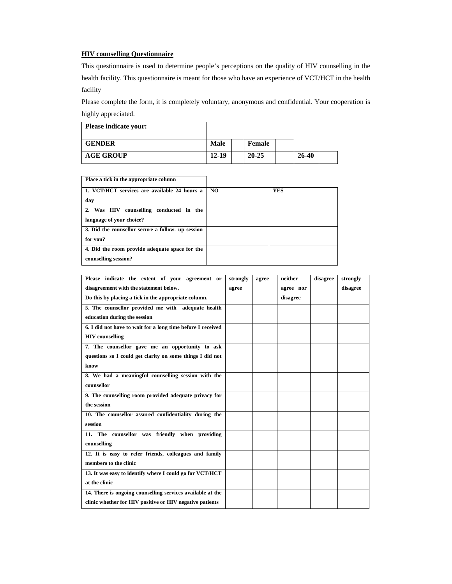#### **HIV counselling Questionnaire**

This questionnaire is used to determine people's perceptions on the quality of HIV counselling in the health facility. This questionnaire is meant for those who have an experience of VCT/HCT in the health facility

Please complete the form, it is completely voluntary, anonymous and confidential. Your cooperation is highly appreciated.

| <b>Please indicate your:</b> |             |           |       |  |
|------------------------------|-------------|-----------|-------|--|
| <b>GENDER</b>                | <b>Male</b> | Female    |       |  |
| <b>AGE GROUP</b>             | 12-19       | $20 - 25$ | 26-40 |  |

**Place a tick in the appropriate column** 

| 1. VCT/HCT services are available 24 hours a      | N <sub>O</sub> | <b>YES</b> |
|---------------------------------------------------|----------------|------------|
| day                                               |                |            |
| 2. Was HIV<br>counselling conducted in the        |                |            |
| language of your choice?                          |                |            |
| 3. Did the counsellor secure a follow- up session |                |            |
| for you?                                          |                |            |
| 4. Did the room provide adequate space for the    |                |            |
| counselling session?                              |                |            |

| Please indicate the extent of your agreement or             | strongly | agree | neither   | disagree | strongly |
|-------------------------------------------------------------|----------|-------|-----------|----------|----------|
| disagreement with the statement below.                      | agree    |       | agree nor |          | disagree |
| Do this by placing a tick in the appropriate column.        |          |       | disagree  |          |          |
| 5. The counsellor provided me with adequate health          |          |       |           |          |          |
| education during the session                                |          |       |           |          |          |
| 6. I did not have to wait for a long time before I received |          |       |           |          |          |
| <b>HIV</b> counselling                                      |          |       |           |          |          |
| 7. The counsellor gave me an opportunity to ask             |          |       |           |          |          |
| questions so I could get clarity on some things I did not   |          |       |           |          |          |
| know                                                        |          |       |           |          |          |
| 8. We had a meaningful counselling session with the         |          |       |           |          |          |
| counsellor                                                  |          |       |           |          |          |
| 9. The counselling room provided adequate privacy for       |          |       |           |          |          |
| the session                                                 |          |       |           |          |          |
| 10. The counsellor assured confidentiality during the       |          |       |           |          |          |
| session                                                     |          |       |           |          |          |
| 11. The counsellor was friendly when providing              |          |       |           |          |          |
| counselling                                                 |          |       |           |          |          |
| 12. It is easy to refer friends, colleagues and family      |          |       |           |          |          |
| members to the clinic                                       |          |       |           |          |          |
| 13. It was easy to identify where I could go for VCT/HCT    |          |       |           |          |          |
| at the clinic                                               |          |       |           |          |          |
| 14. There is ongoing counselling services available at the  |          |       |           |          |          |
| clinic whether for HIV positive or HIV negative patients    |          |       |           |          |          |